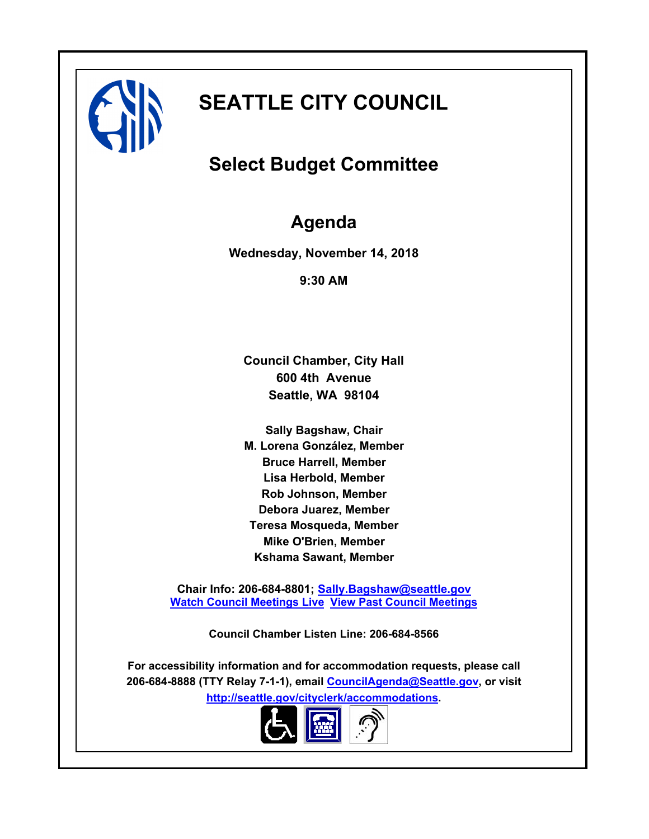

# **SEATTLE CITY COUNCIL**

# **Select Budget Committee**

# **Agenda**

**Wednesday, November 14, 2018**

**9:30 AM**

**Council Chamber, City Hall 600 4th Avenue Seattle, WA 98104**

**Sally Bagshaw, Chair M. Lorena González, Member Bruce Harrell, Member Lisa Herbold, Member Rob Johnson, Member Debora Juarez, Member Teresa Mosqueda, Member Mike O'Brien, Member Kshama Sawant, Member**

**Chair Info: 206-684-8801; [Sally.Bagshaw@seattle.gov](mailto:Sally.Bagshaw@seattle.gov) [Watch Council Meetings Live](http://www.seattle.gov/council/councillive.htm) [View Past Council Meetings](http://www.seattlechannel.org/videos/browseVideos.asp?topic=council)**

**Council Chamber Listen Line: 206-684-8566**

**For accessibility information and for accommodation requests, please call 206-684-8888 (TTY Relay 7-1-1), email [CouncilAgenda@Seattle.gov](mailto: Council.Agenda@seattle.gov), or visit <http://seattle.gov/cityclerk/accommodations>.**

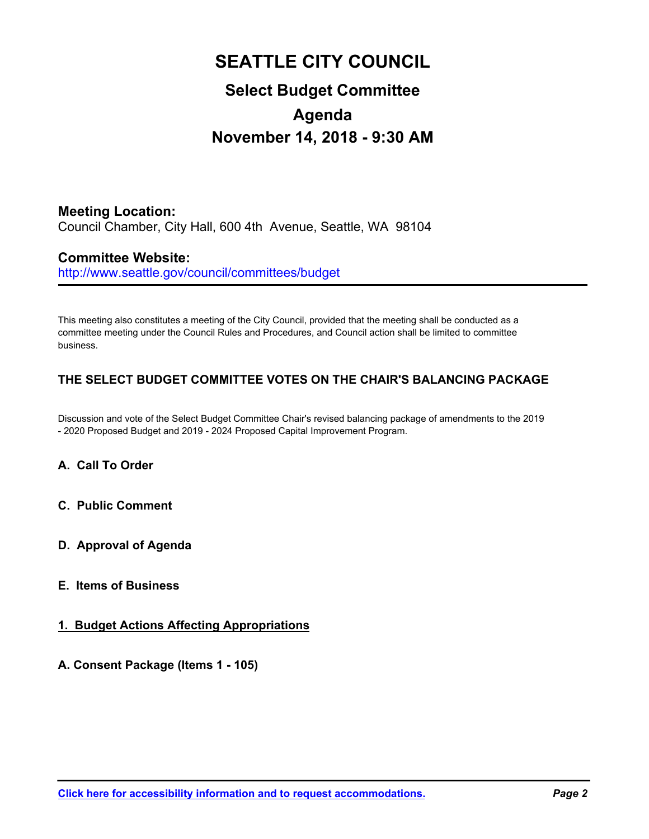# **SEATTLE CITY COUNCIL Select Budget Committee Agenda**

# **November 14, 2018 - 9:30 AM**

**Meeting Location:** Council Chamber, City Hall, 600 4th Avenue, Seattle, WA 98104

# **Committee Website:**

http://www.seattle.gov/council/committees/budget

This meeting also constitutes a meeting of the City Council, provided that the meeting shall be conducted as a committee meeting under the Council Rules and Procedures, and Council action shall be limited to committee business.

# **THE SELECT BUDGET COMMITTEE VOTES ON THE CHAIR'S BALANCING PACKAGE**

Discussion and vote of the Select Budget Committee Chair's revised balancing package of amendments to the 2019 - 2020 Proposed Budget and 2019 - 2024 Proposed Capital Improvement Program.

# **A. Call To Order**

- **C. Public Comment**
- **D. Approval of Agenda**
- **E. Items of Business**

## **1. Budget Actions Affecting Appropriations**

## **A. Consent Package (Items 1 - 105)**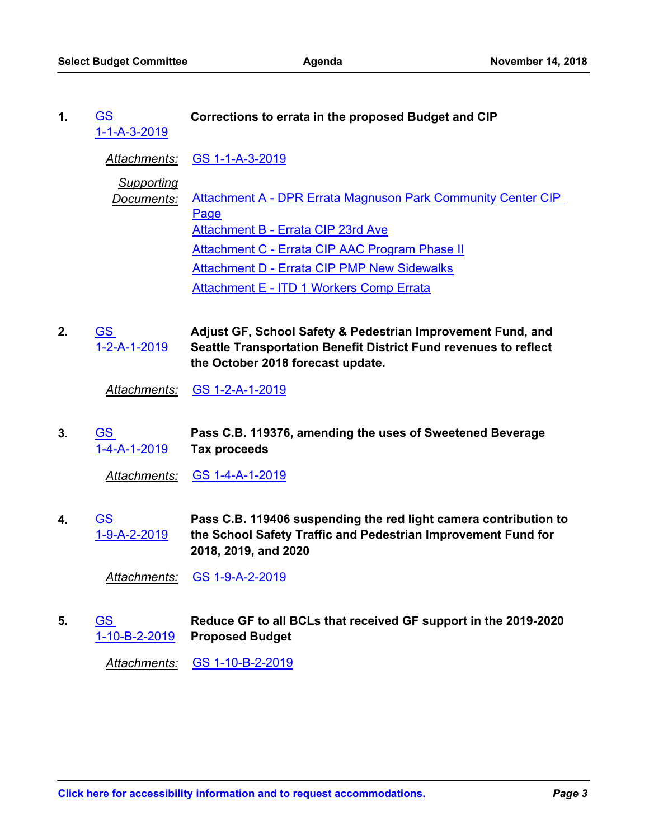GS **Corrections to errata in the proposed Budget and CIP** [1-1-A-3-2019](http://seattle.legistar.com/gateway.aspx?m=l&id=/matter.aspx?key=8086) **1.**

*Attachments:* [GS 1-1-A-3-2019](http://seattle.legistar.com/gateway.aspx?M=F&ID=5f1215b4-a387-4bdb-a251-f4f5addc9d22.docx)

*Supporting*

- *Documents:* [Attachment A DPR Errata Magnuson Park Community Center CIP](http://seattle.legistar.com/gateway.aspx?M=F&ID=984ca783-e68a-439f-9ba4-213e77e4a641.pdf)  Page [Attachment B - Errata CIP 23rd Ave](http://seattle.legistar.com/gateway.aspx?M=F&ID=264f8db3-343f-41f4-a0c6-cdd089ad1ff6.pdf) [Attachment C - Errata CIP AAC Program Phase II](http://seattle.legistar.com/gateway.aspx?M=F&ID=807071b6-7a0c-445b-a003-acf301eddbf0.pdf) [Attachment D - Errata CIP PMP New Sidewalks](http://seattle.legistar.com/gateway.aspx?M=F&ID=38b96a49-f8b3-43be-aeb0-9d63d80598ae.pdf) [Attachment E - ITD 1 Workers Comp Errata](http://seattle.legistar.com/gateway.aspx?M=F&ID=7b50f71e-8ce5-425f-adf7-3818ca98804c.pdf)
- **Adjust GF, School Safety & Pedestrian Improvement Fund, and Seattle Transportation Benefit District Fund revenues to reflect the October 2018 forecast update.** GS [1-2-A-1-2019](http://seattle.legistar.com/gateway.aspx?m=l&id=/matter.aspx?key=7969) **2.**

*Attachments:* [GS 1-2-A-1-2019](http://seattle.legistar.com/gateway.aspx?M=F&ID=616bfe03-6c40-4158-82df-d25612f7e618.docx)

**Pass C.B. 119376, amending the uses of Sweetened Beverage Tax proceeds** GS [1-4-A-1-2019](http://seattle.legistar.com/gateway.aspx?m=l&id=/matter.aspx?key=7768) **3.**

*Attachments:* [GS 1-4-A-1-2019](http://seattle.legistar.com/gateway.aspx?M=F&ID=1653ba51-d533-4e91-a2d2-e7e44413c79e.docx)

**Pass C.B. 119406 suspending the red light camera contribution to the School Safety Traffic and Pedestrian Improvement Fund for 2018, 2019, and 2020** GS [1-9-A-2-2019](http://seattle.legistar.com/gateway.aspx?m=l&id=/matter.aspx?key=8087) **4.**

*Attachments:* [GS 1-9-A-2-2019](http://seattle.legistar.com/gateway.aspx?M=F&ID=d4fef763-dcf6-45e9-8886-65c6c292c5d4.docx)

**Reduce GF to all BCLs that received GF support in the 2019-2020 Proposed Budget** GS [1-10-B-2-2019](http://seattle.legistar.com/gateway.aspx?m=l&id=/matter.aspx?key=8088) **5.**

*Attachments:* [GS 1-10-B-2-2019](http://seattle.legistar.com/gateway.aspx?M=F&ID=20cbc227-4642-40d2-8dcc-d13b57e48976.docx)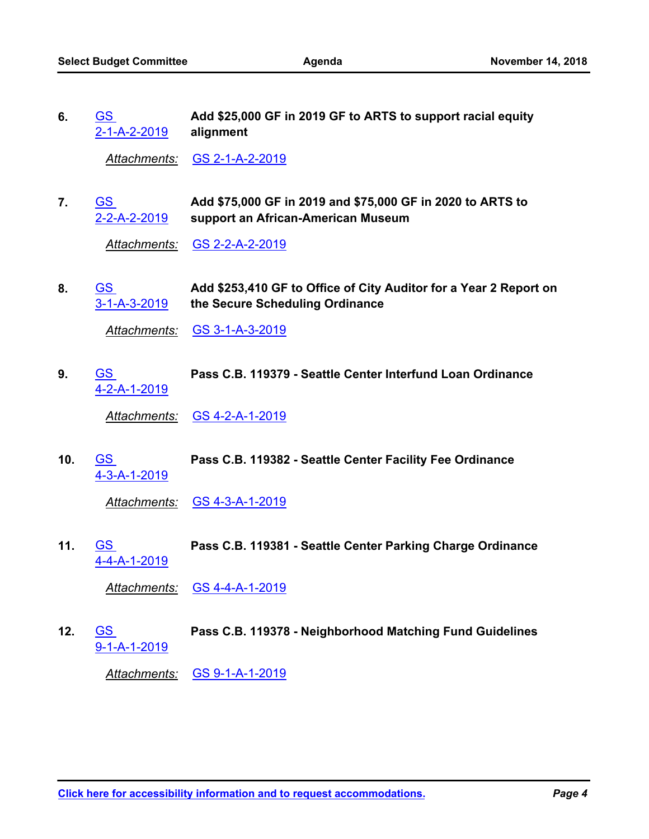| 6. | <b>GS</b>    | Add \$25,000 GF in 2019 GF to ARTS to support racial equity |
|----|--------------|-------------------------------------------------------------|
|    | 2-1-A-2-2019 | alignment                                                   |

*Attachments:* [GS 2-1-A-2-2019](http://seattle.legistar.com/gateway.aspx?M=F&ID=ef26d8d5-087e-4f50-816b-5b49964aa185.docx)

**Add \$75,000 GF in 2019 and \$75,000 GF in 2020 to ARTS to support an African-American Museum** GS [2-2-A-2-2019](http://seattle.legistar.com/gateway.aspx?m=l&id=/matter.aspx?key=7973) **7.**

*Attachments:* [GS 2-2-A-2-2019](http://seattle.legistar.com/gateway.aspx?M=F&ID=6317a164-c332-4a4d-b8e8-086e11c16e7a.docx)

**Add \$253,410 GF to Office of City Auditor for a Year 2 Report on the Secure Scheduling Ordinance** GS [3-1-A-3-2019](http://seattle.legistar.com/gateway.aspx?m=l&id=/matter.aspx?key=7974) **8.**

*Attachments:* [GS 3-1-A-3-2019](http://seattle.legistar.com/gateway.aspx?M=F&ID=de59e28b-6f6e-4761-abeb-7942837836ba.docx)

GS **Pass C.B. 119379 - Seattle Center Interfund Loan Ordinance** [4-2-A-1-2019](http://seattle.legistar.com/gateway.aspx?m=l&id=/matter.aspx?key=7773) **9.**

*Attachments:* [GS 4-2-A-1-2019](http://seattle.legistar.com/gateway.aspx?M=F&ID=66a3e7ad-0a88-435d-be2c-71b2213c1391.docx)

GS **Pass C.B. 119382 - Seattle Center Facility Fee Ordinance** [4-3-A-1-2019](http://seattle.legistar.com/gateway.aspx?m=l&id=/matter.aspx?key=7774) **10.**

*Attachments:* [GS 4-3-A-1-2019](http://seattle.legistar.com/gateway.aspx?M=F&ID=3f31eccf-ac1d-41a2-9cce-ed2adf3b6d80.docx)

GS **Pass C.B. 119381 - Seattle Center Parking Charge Ordinance** [4-4-A-1-2019](http://seattle.legistar.com/gateway.aspx?m=l&id=/matter.aspx?key=7775) **11.**

*Attachments:* [GS 4-4-A-1-2019](http://seattle.legistar.com/gateway.aspx?M=F&ID=df89ec41-89bb-40ca-a165-1569410b8993.docx)

GS **Pass C.B. 119378 - Neighborhood Matching Fund Guidelines** [9-1-A-1-2019](http://seattle.legistar.com/gateway.aspx?m=l&id=/matter.aspx?key=7852) **12.**

*Attachments:* [GS 9-1-A-1-2019](http://seattle.legistar.com/gateway.aspx?M=F&ID=db6dd5e7-3218-480d-ad34-988e248b09b5.docx)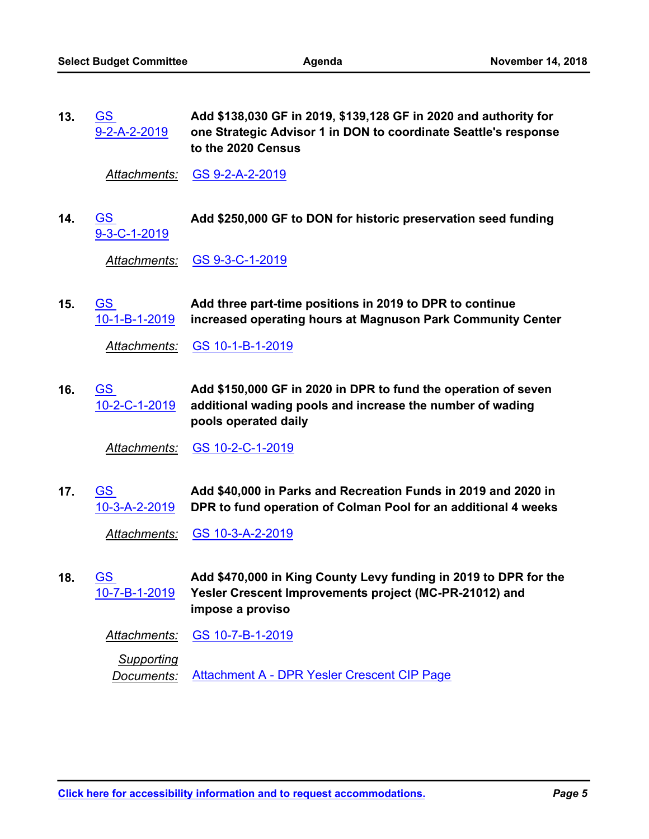**Add \$138,030 GF in 2019, \$139,128 GF in 2020 and authority for one Strategic Advisor 1 in DON to coordinate Seattle's response to the 2020 Census** GS [9-2-A-2-2019](http://seattle.legistar.com/gateway.aspx?m=l&id=/matter.aspx?key=7975) **13.**

*Attachments:* [GS 9-2-A-2-2019](http://seattle.legistar.com/gateway.aspx?M=F&ID=a4492d9d-507b-4b9b-aebb-c2b130975bd6.docx)

GS **Add \$250,000 GF to DON for historic preservation seed funding** [9-3-C-1-2019](http://seattle.legistar.com/gateway.aspx?m=l&id=/matter.aspx?key=7976) **14.**

*Attachments:* [GS 9-3-C-1-2019](http://seattle.legistar.com/gateway.aspx?M=F&ID=b5393151-71f5-4bb7-9f7b-1b454dc74564.docx)

**Add three part-time positions in 2019 to DPR to continue increased operating hours at Magnuson Park Community Center** GS [10-1-B-1-2019](http://seattle.legistar.com/gateway.aspx?m=l&id=/matter.aspx?key=7978) **15.**

*Attachments:* [GS 10-1-B-1-2019](http://seattle.legistar.com/gateway.aspx?M=F&ID=4a374658-b1a0-4a98-8bac-d7c8db090b35.docx)

**Add \$150,000 GF in 2020 in DPR to fund the operation of seven additional wading pools and increase the number of wading pools operated daily** GS [10-2-C-1-2019](http://seattle.legistar.com/gateway.aspx?m=l&id=/matter.aspx?key=7979) **16.**

*Attachments:* [GS 10-2-C-1-2019](http://seattle.legistar.com/gateway.aspx?M=F&ID=ee004925-d85a-4da7-92ea-df8207d6f15f.docx)

**Add \$40,000 in Parks and Recreation Funds in 2019 and 2020 in DPR to fund operation of Colman Pool for an additional 4 weeks** GS [10-3-A-2-2019](http://seattle.legistar.com/gateway.aspx?m=l&id=/matter.aspx?key=7980) **17.**

*Attachments:* [GS 10-3-A-2-2019](http://seattle.legistar.com/gateway.aspx?M=F&ID=636dfae9-8c25-4e07-aa8f-09456bb65dbf.docx)

**Add \$470,000 in King County Levy funding in 2019 to DPR for the Yesler Crescent Improvements project (MC-PR-21012) and impose a proviso** GS [10-7-B-1-2019](http://seattle.legistar.com/gateway.aspx?m=l&id=/matter.aspx?key=7981) **18.**

*Attachments:* [GS 10-7-B-1-2019](http://seattle.legistar.com/gateway.aspx?M=F&ID=06900d1f-e170-44ec-ab12-168ba4f8707c.docx)

*Supporting*

*Documents:* [Attachment A - DPR Yesler Crescent CIP Page](http://seattle.legistar.com/gateway.aspx?M=F&ID=f8062084-567c-4d60-96df-5c220db0a8b5.pdf)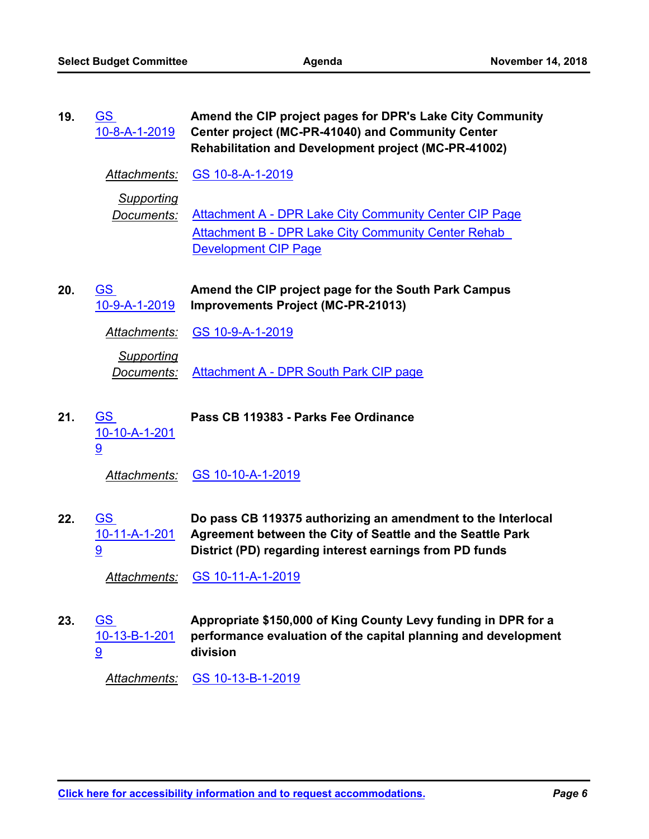| 19. | <u>GS</u><br>10-8-A-1-2019      | Amend the CIP project pages for DPR's Lake City Community<br>Center project (MC-PR-41040) and Community Center<br><b>Rehabilitation and Development project (MC-PR-41002)</b>         |
|-----|---------------------------------|---------------------------------------------------------------------------------------------------------------------------------------------------------------------------------------|
|     | Attachments:                    | GS 10-8-A-1-2019                                                                                                                                                                      |
|     | <b>Supporting</b><br>Documents: | Attachment A - DPR Lake City Community Center CIP Page<br><b>Attachment B - DPR Lake City Community Center Rehab</b><br><b>Development CIP Page</b>                                   |
| 20. | <u>GS</u><br>10-9-A-1-2019      | Amend the CIP project page for the South Park Campus<br><b>Improvements Project (MC-PR-21013)</b>                                                                                     |
|     | <u>Attachments:</u>             | <u>GS 10-9-A-1-2019</u>                                                                                                                                                               |
|     | <b>Supporting</b><br>Documents: | <b>Attachment A - DPR South Park CIP page</b>                                                                                                                                         |
| 21. | <u>GS</u><br>10-10-A-1-201<br>9 | Pass CB 119383 - Parks Fee Ordinance                                                                                                                                                  |
|     | Attachments:                    | GS 10-10-A-1-2019                                                                                                                                                                     |
| 22. | <u>GS</u><br>10-11-A-1-201<br>9 | Do pass CB 119375 authorizing an amendment to the Interlocal<br>Agreement between the City of Seattle and the Seattle Park<br>District (PD) regarding interest earnings from PD funds |
|     |                                 |                                                                                                                                                                                       |
|     | Attachments:                    | GS 10-11-A-1-2019                                                                                                                                                                     |
| 23. | <u>GS</u><br>10-13-B-1-201<br>9 | Appropriate \$150,000 of King County Levy funding in DPR for a<br>performance evaluation of the capital planning and development<br>division                                          |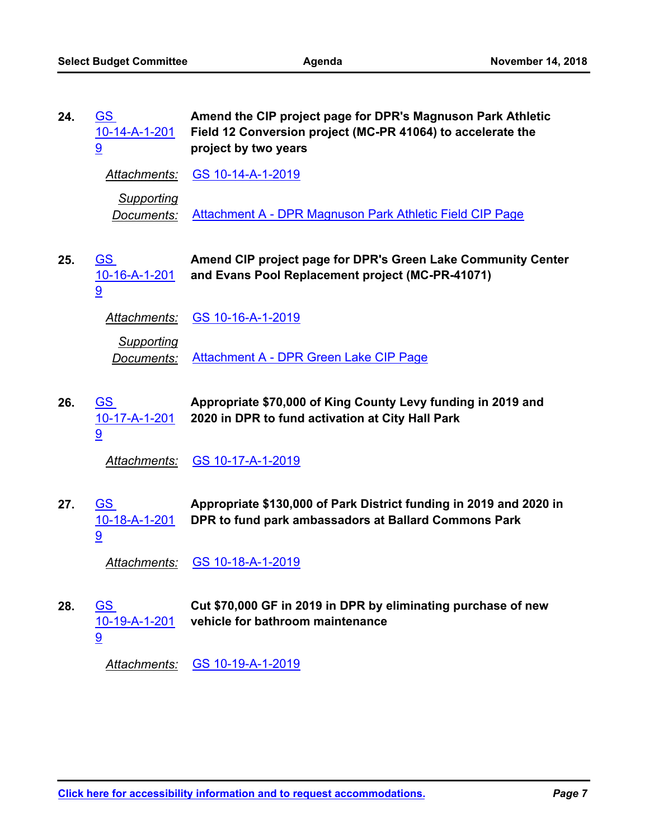| 24. | <u>GS</u><br>10-14-A-1-201<br>9 | Amend the CIP project page for DPR's Magnuson Park Athletic<br>Field 12 Conversion project (MC-PR 41064) to accelerate the<br>project by two years |
|-----|---------------------------------|----------------------------------------------------------------------------------------------------------------------------------------------------|
|     | Attachments:                    | GS 10-14-A-1-2019                                                                                                                                  |
|     | <b>Supporting</b><br>Documents: | Attachment A - DPR Magnuson Park Athletic Field CIP Page                                                                                           |
| 25. | <u>GS</u><br>10-16-A-1-201<br>9 | Amend CIP project page for DPR's Green Lake Community Center<br>and Evans Pool Replacement project (MC-PR-41071)                                   |
|     | <b>Attachments:</b>             | GS 10-16-A-1-2019                                                                                                                                  |
|     | Supporting<br>Documents:        | <b>Attachment A - DPR Green Lake CIP Page</b>                                                                                                      |
| 26. | <u>GS</u><br>10-17-A-1-201<br>9 | Appropriate \$70,000 of King County Levy funding in 2019 and<br>2020 in DPR to fund activation at City Hall Park                                   |
|     | <b>Attachments:</b>             | <u>GS 10-17-A-1-2019</u>                                                                                                                           |
| 27. | <u>GS</u><br>10-18-A-1-201<br>9 | Appropriate \$130,000 of Park District funding in 2019 and 2020 in<br>DPR to fund park ambassadors at Ballard Commons Park                         |
|     | <u>Attachments:</u>             | GS 10-18-A-1-2019                                                                                                                                  |
| 28. | <u>GS</u><br>10-19-A-1-201<br>9 | Cut \$70,000 GF in 2019 in DPR by eliminating purchase of new<br>vehicle for bathroom maintenance                                                  |
|     |                                 |                                                                                                                                                    |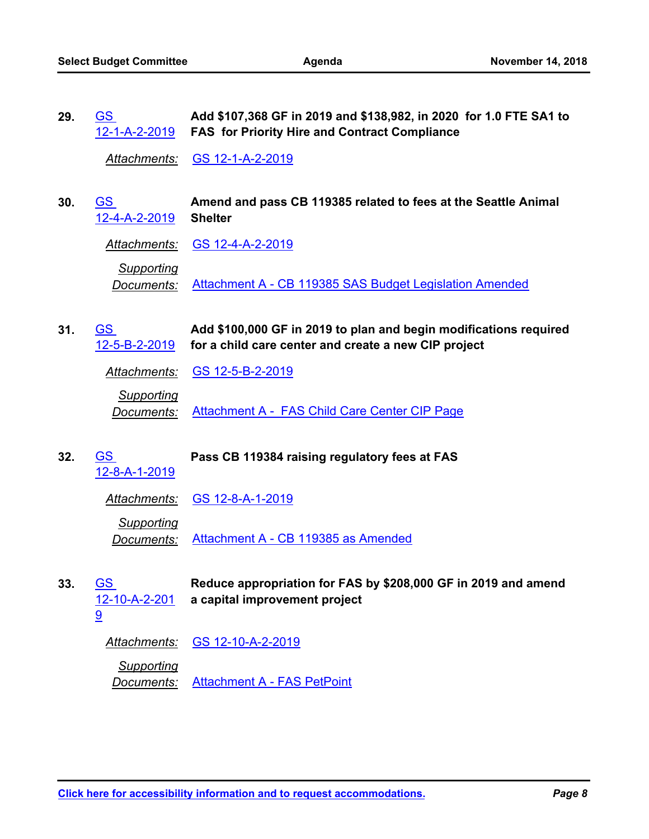**Add \$107,368 GF in 2019 and \$138,982, in 2020 for 1.0 FTE SA1 to FAS for Priority Hire and Contract Compliance** GS [12-1-A-2-2019](http://seattle.legistar.com/gateway.aspx?m=l&id=/matter.aspx?key=7986) **29.**

*Attachments:* [GS 12-1-A-2-2019](http://seattle.legistar.com/gateway.aspx?M=F&ID=68f425e4-6e31-48b0-9a1a-9e5136d1842f.docx)

**Amend and pass CB 119385 related to fees at the Seattle Animal Shelter** GS [12-4-A-2-2019](http://seattle.legistar.com/gateway.aspx?m=l&id=/matter.aspx?key=8089) **30.**

*Attachments:* [GS 12-4-A-2-2019](http://seattle.legistar.com/gateway.aspx?M=F&ID=660dbc34-4ed1-41b8-a762-bb2a33889c8d.docx)

*Supporting Documents:* [Attachment A - CB 119385 SAS Budget Legislation Amended](http://seattle.legistar.com/gateway.aspx?M=F&ID=36abc4b9-f50f-4235-b005-3419159aee48.pdf)

**Add \$100,000 GF in 2019 to plan and begin modifications required for a child care center and create a new CIP project** GS [12-5-B-2-2019](http://seattle.legistar.com/gateway.aspx?m=l&id=/matter.aspx?key=8090) **31.**

*Attachments:* [GS 12-5-B-2-2019](http://seattle.legistar.com/gateway.aspx?M=F&ID=bb9cfdf1-45cd-4925-a1c2-1811d6bfbec6.docx)

*Supporting Documents:* [Attachment A - FAS Child Care Center CIP Page](http://seattle.legistar.com/gateway.aspx?M=F&ID=d3abda5f-f436-4ba7-b9aa-4662e1adff9d.pdf)

GS **Pass CB 119384 raising regulatory fees at FAS** [12-8-A-1-2019](http://seattle.legistar.com/gateway.aspx?m=l&id=/matter.aspx?key=7861) **32.** *Attachments:* [GS 12-8-A-1-2019](http://seattle.legistar.com/gateway.aspx?M=F&ID=4d4ffb35-835c-4328-8c24-fec1e03db6ee.docx) *Supporting Documents:* [Attachment A - CB 119385 as Amended](http://seattle.legistar.com/gateway.aspx?M=F&ID=6147d8c0-f837-46a3-b895-ab8a234d049f.pdf)

**Reduce appropriation for FAS by \$208,000 GF in 2019 and amend a capital improvement project** GS [12-10-A-2-201](http://seattle.legistar.com/gateway.aspx?m=l&id=/matter.aspx?key=8091) **33.**

*Attachments:* [GS 12-10-A-2-2019](http://seattle.legistar.com/gateway.aspx?M=F&ID=33fc5404-b016-4bb7-97d2-38b3e2436d1f.docx)

9

*Supporting Documents:* [Attachment A - FAS PetPoint](http://seattle.legistar.com/gateway.aspx?M=F&ID=ecb5f2a3-0fb8-4107-a0c6-81fd0399b755.pdf)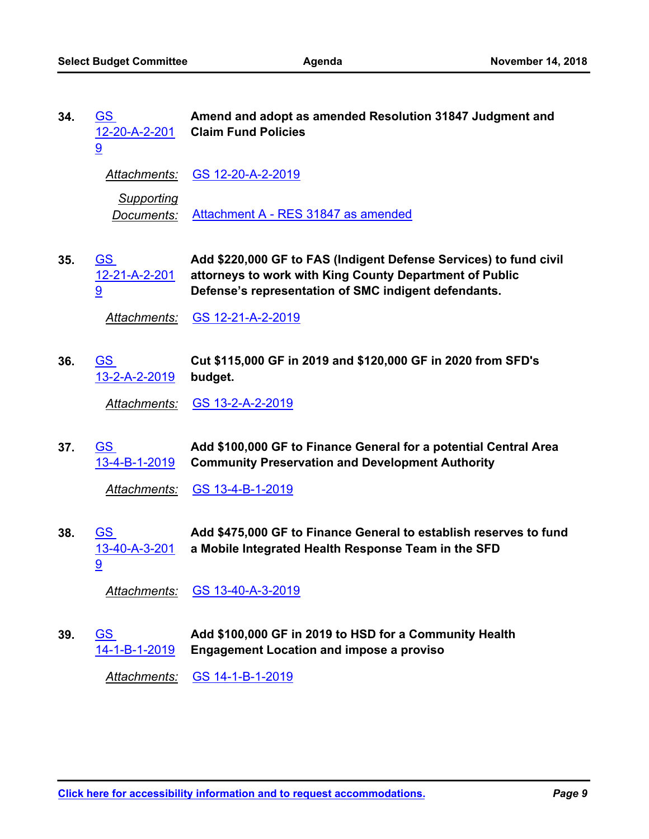| 34. | <b>GS</b><br><u>12-20-A-2-201</u><br>9          | Amend and adopt as amended Resolution 31847 Judgment and<br><b>Claim Fund Policies</b>                                                                                               |
|-----|-------------------------------------------------|--------------------------------------------------------------------------------------------------------------------------------------------------------------------------------------|
|     | <u>Attachments:</u>                             | <u>GS 12-20-A-2-2019</u>                                                                                                                                                             |
|     | <b>Supporting</b><br>Documents:                 | Attachment A - RES 31847 as amended                                                                                                                                                  |
| 35. | <u>GS</u><br>12-21-A-2-201<br>9                 | Add \$220,000 GF to FAS (Indigent Defense Services) to fund civil<br>attorneys to work with King County Department of Public<br>Defense's representation of SMC indigent defendants. |
|     | Attachments:                                    | GS 12-21-A-2-2019                                                                                                                                                                    |
| 36. | $\overline{\text{GS}}$<br><u>13-2-A-2-2019</u>  | Cut \$115,000 GF in 2019 and \$120,000 GF in 2020 from SFD's<br>budget.                                                                                                              |
|     | Attachments:                                    | GS 13-2-A-2-2019                                                                                                                                                                     |
| 37. | <u>GS</u><br>13-4-B-1-2019                      | Add \$100,000 GF to Finance General for a potential Central Area<br><b>Community Preservation and Development Authority</b>                                                          |
|     | <b>Attachments:</b>                             | GS 13-4-B-1-2019                                                                                                                                                                     |
| 38. | $\underline{\mathsf{GS}}$<br>13-40-A-3-201<br>9 | Add \$475,000 GF to Finance General to establish reserves to fund<br>a Mobile Integrated Health Response Team in the SFD                                                             |
|     | Attachments:                                    | GS 13-40-A-3-2019                                                                                                                                                                    |
| 39. | <u>GS</u><br>14-1-B-1-2019                      | Add \$100,000 GF in 2019 to HSD for a Community Health<br><b>Engagement Location and impose a proviso</b>                                                                            |
|     | Attachments:                                    | GS 14-1-B-1-2019                                                                                                                                                                     |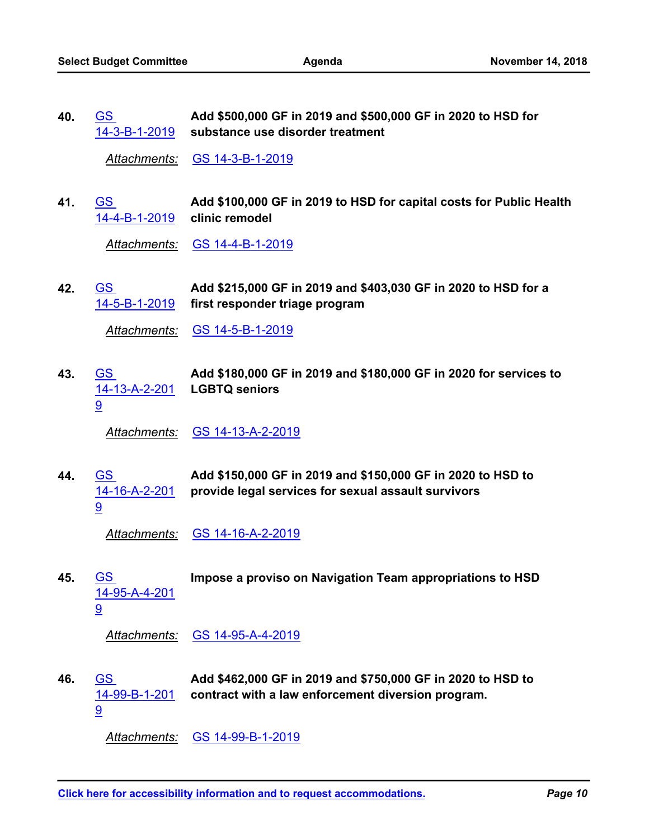**Add \$500,000 GF in 2019 and \$500,000 GF in 2020 to HSD for substance use disorder treatment** GS [14-3-B-1-2019](http://seattle.legistar.com/gateway.aspx?m=l&id=/matter.aspx?key=7996) **40.**

*Attachments:* [GS 14-3-B-1-2019](http://seattle.legistar.com/gateway.aspx?M=F&ID=61f71042-388d-485e-ae67-b37ee02a3304.docx)

**Add \$100,000 GF in 2019 to HSD for capital costs for Public Health clinic remodel** GS [14-4-B-1-2019](http://seattle.legistar.com/gateway.aspx?m=l&id=/matter.aspx?key=7997) **41.**

*Attachments:* [GS 14-4-B-1-2019](http://seattle.legistar.com/gateway.aspx?M=F&ID=3fa0aaa3-83b1-423b-b4e9-615bdea9b07b.docx)

**Add \$215,000 GF in 2019 and \$403,030 GF in 2020 to HSD for a first responder triage program** GS [14-5-B-1-2019](http://seattle.legistar.com/gateway.aspx?m=l&id=/matter.aspx?key=7998) **42.**

*Attachments:* [GS 14-5-B-1-2019](http://seattle.legistar.com/gateway.aspx?M=F&ID=8b53d8b3-62f1-4351-871e-7c162d740660.docx)

**Add \$180,000 GF in 2019 and \$180,000 GF in 2020 for services to LGBTQ seniors** GS [14-13-A-2-201](http://seattle.legistar.com/gateway.aspx?m=l&id=/matter.aspx?key=8001) 9 **43.**

*Attachments:* [GS 14-13-A-2-2019](http://seattle.legistar.com/gateway.aspx?M=F&ID=0111792f-486f-442f-a7da-abbfac108fe9.docx)

**Add \$150,000 GF in 2019 and \$150,000 GF in 2020 to HSD to provide legal services for sexual assault survivors** GS [14-16-A-2-201](http://seattle.legistar.com/gateway.aspx?m=l&id=/matter.aspx?key=8002) 9 **44.**

*Attachments:* [GS 14-16-A-2-2019](http://seattle.legistar.com/gateway.aspx?M=F&ID=06438a44-6a59-4f45-be9a-4376b604b7c6.docx)

GS **Impose a proviso on Navigation Team appropriations to HSD** [14-95-A-4-201](http://seattle.legistar.com/gateway.aspx?m=l&id=/matter.aspx?key=8006) 9 **45.**

*Attachments:* [GS 14-95-A-4-2019](http://seattle.legistar.com/gateway.aspx?M=F&ID=acc02754-f475-456e-b4b2-7c518e5f7615.docx)

**Add \$462,000 GF in 2019 and \$750,000 GF in 2020 to HSD to contract with a law enforcement diversion program.** GS [14-99-B-1-201](http://seattle.legistar.com/gateway.aspx?m=l&id=/matter.aspx?key=8092) 9 **46.**

*Attachments:* [GS 14-99-B-1-2019](http://seattle.legistar.com/gateway.aspx?M=F&ID=5faaa28e-3241-42dc-8166-c9adc0394688.docx)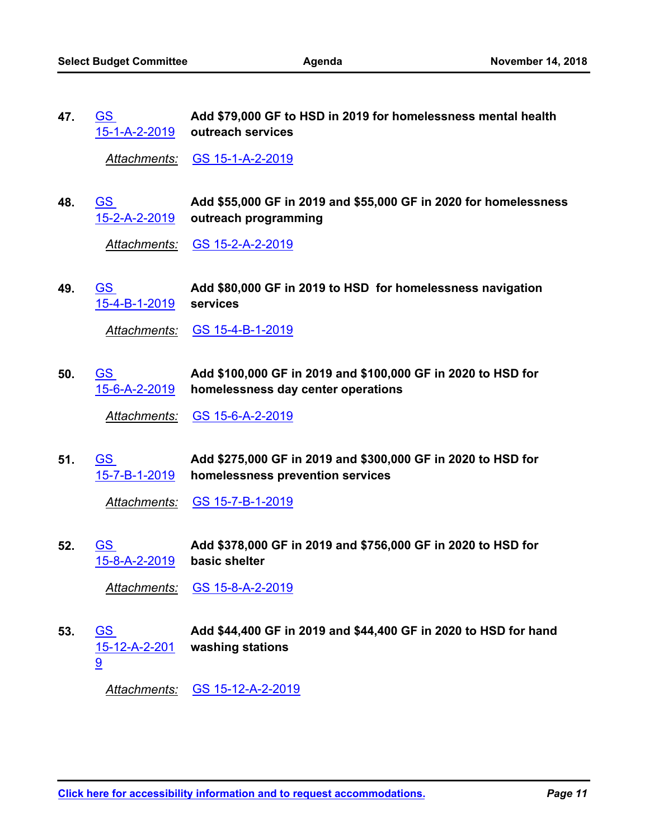**Add \$79,000 GF to HSD in 2019 for homelessness mental health outreach services** [15-1-A-2-2019](http://seattle.legistar.com/gateway.aspx?m=l&id=/matter.aspx?key=8009) GS **47.**

*Attachments:* [GS 15-1-A-2-2019](http://seattle.legistar.com/gateway.aspx?M=F&ID=c131272a-065e-4b5c-97ad-a9fb71508ac0.docx)

**Add \$55,000 GF in 2019 and \$55,000 GF in 2020 for homelessness outreach programming** GS [15-2-A-2-2019](http://seattle.legistar.com/gateway.aspx?m=l&id=/matter.aspx?key=8010) **48.**

*Attachments:* [GS 15-2-A-2-2019](http://seattle.legistar.com/gateway.aspx?M=F&ID=e58e8ab5-5362-44f6-82ac-85aa07488bfe.docx)

**Add \$80,000 GF in 2019 to HSD for homelessness navigation services** GS [15-4-B-1-2019](http://seattle.legistar.com/gateway.aspx?m=l&id=/matter.aspx?key=8093) **49.**

*Attachments:* [GS 15-4-B-1-2019](http://seattle.legistar.com/gateway.aspx?M=F&ID=2df0a9c7-c887-4115-af18-442cebb9d158.docx)

**Add \$100,000 GF in 2019 and \$100,000 GF in 2020 to HSD for homelessness day center operations** GS [15-6-A-2-2019](http://seattle.legistar.com/gateway.aspx?m=l&id=/matter.aspx?key=8012) **50.**

*Attachments:* [GS 15-6-A-2-2019](http://seattle.legistar.com/gateway.aspx?M=F&ID=a38d2f85-6f72-4dc1-9dcc-95b262b30535.docx)

**Add \$275,000 GF in 2019 and \$300,000 GF in 2020 to HSD for homelessness prevention services** GS [15-7-B-1-2019](http://seattle.legistar.com/gateway.aspx?m=l&id=/matter.aspx?key=8013) **51.**

*Attachments:* [GS 15-7-B-1-2019](http://seattle.legistar.com/gateway.aspx?M=F&ID=0393f45e-d68a-45d3-807d-f0047b3b936e.docx)

**Add \$378,000 GF in 2019 and \$756,000 GF in 2020 to HSD for basic shelter** GS [15-8-A-2-2019](http://seattle.legistar.com/gateway.aspx?m=l&id=/matter.aspx?key=8014) **52.**

*Attachments:* [GS 15-8-A-2-2019](http://seattle.legistar.com/gateway.aspx?M=F&ID=29287849-1dea-4b8d-88b8-ba6f2f3b9639.docx)

**Add \$44,400 GF in 2019 and \$44,400 GF in 2020 to HSD for hand washing stations** GS [15-12-A-2-201](http://seattle.legistar.com/gateway.aspx?m=l&id=/matter.aspx?key=8015) 9 **53.**

*Attachments:* [GS 15-12-A-2-2019](http://seattle.legistar.com/gateway.aspx?M=F&ID=592c990f-013c-46ae-b4af-0be22ca8832a.docx)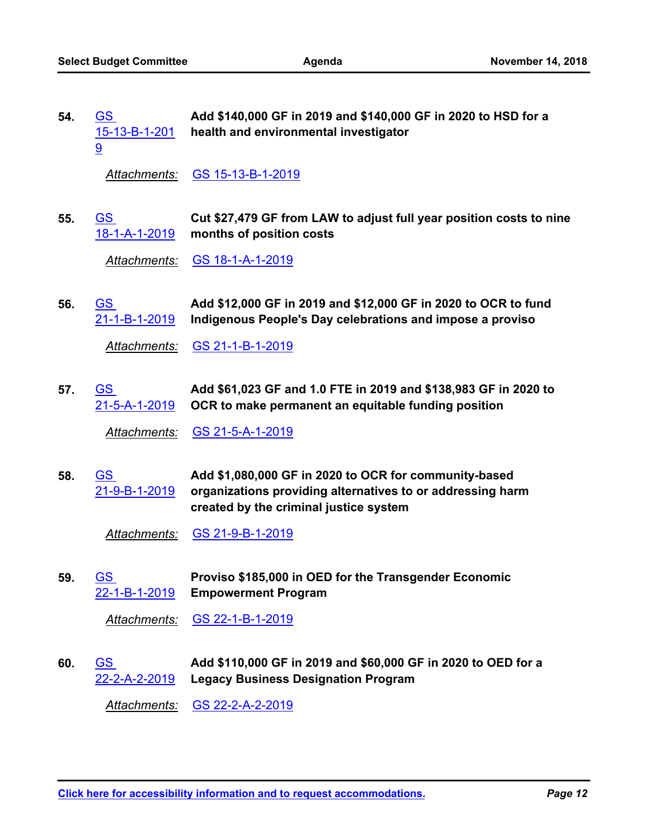| 54. | <b>GS</b>     | Add \$140,000 GF in 2019 and \$140,000 GF in 2020 to HSD for a |
|-----|---------------|----------------------------------------------------------------|
|     | 15-13-B-1-201 | health and environmental investigator                          |
|     |               |                                                                |

*Attachments:* [GS 15-13-B-1-2019](http://seattle.legistar.com/gateway.aspx?M=F&ID=7790cddb-6a67-474c-bcc4-076e9f17fc24.docx)

**Cut \$27,479 GF from LAW to adjust full year position costs to nine months of position costs** GS [18-1-A-1-2019](http://seattle.legistar.com/gateway.aspx?m=l&id=/matter.aspx?key=8018) **55.**

*Attachments:* [GS 18-1-A-1-2019](http://seattle.legistar.com/gateway.aspx?M=F&ID=a3871951-f67d-4fe6-8153-983d0018a190.docx)

**Add \$12,000 GF in 2019 and \$12,000 GF in 2020 to OCR to fund Indigenous People's Day celebrations and impose a proviso** GS [21-1-B-1-2019](http://seattle.legistar.com/gateway.aspx?m=l&id=/matter.aspx?key=8020) **56.**

*Attachments:* [GS 21-1-B-1-2019](http://seattle.legistar.com/gateway.aspx?M=F&ID=80924a79-d47d-48d3-a655-4e2d38257562.docx)

**Add \$61,023 GF and 1.0 FTE in 2019 and \$138,983 GF in 2020 to OCR to make permanent an equitable funding position** GS [21-5-A-1-2019](http://seattle.legistar.com/gateway.aspx?m=l&id=/matter.aspx?key=7871) **57.**

*Attachments:* [GS 21-5-A-1-2019](http://seattle.legistar.com/gateway.aspx?M=F&ID=7b259df0-97c5-461e-89bc-06deb99fc38e.docx)

**Add \$1,080,000 GF in 2020 to OCR for community-based organizations providing alternatives to or addressing harm created by the criminal justice system** GS [21-9-B-1-2019](http://seattle.legistar.com/gateway.aspx?m=l&id=/matter.aspx?key=8021) **58.**

*Attachments:* [GS 21-9-B-1-2019](http://seattle.legistar.com/gateway.aspx?M=F&ID=e4ddd087-edd8-4f4c-9cf4-a70ad0867c8f.docx)

**Proviso \$185,000 in OED for the Transgender Economic Empowerment Program** GS [22-1-B-1-2019](http://seattle.legistar.com/gateway.aspx?m=l&id=/matter.aspx?key=8022) **59.**

*Attachments:* [GS 22-1-B-1-2019](http://seattle.legistar.com/gateway.aspx?M=F&ID=42b19ac1-9328-492f-af38-1cb9cfd4b57b.docx)

**Add \$110,000 GF in 2019 and \$60,000 GF in 2020 to OED for a Legacy Business Designation Program** GS [22-2-A-2-2019](http://seattle.legistar.com/gateway.aspx?m=l&id=/matter.aspx?key=8023) **60.**

*Attachments:* [GS 22-2-A-2-2019](http://seattle.legistar.com/gateway.aspx?M=F&ID=d4ee052b-e3be-45fa-b128-6b896063d4d8.docx)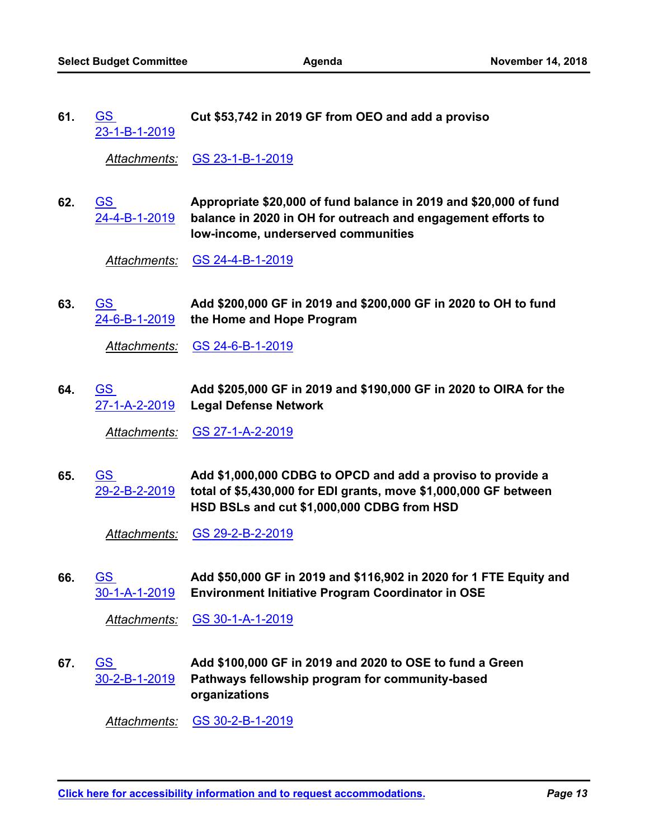GS **Cut \$53,742 in 2019 GF from OEO and add a proviso** [23-1-B-1-2019](http://seattle.legistar.com/gateway.aspx?m=l&id=/matter.aspx?key=8025) **61.**

*Attachments:* [GS 23-1-B-1-2019](http://seattle.legistar.com/gateway.aspx?M=F&ID=d04674e6-ad93-45ba-bd12-411deaadb8d8.docx)

**Appropriate \$20,000 of fund balance in 2019 and \$20,000 of fund balance in 2020 in OH for outreach and engagement efforts to low-income, underserved communities** GS [24-4-B-1-2019](http://seattle.legistar.com/gateway.aspx?m=l&id=/matter.aspx?key=8026) **62.**

*Attachments:* [GS 24-4-B-1-2019](http://seattle.legistar.com/gateway.aspx?M=F&ID=a524dc7b-9f51-41fa-8d42-c794f7ad727a.docx)

**Add \$200,000 GF in 2019 and \$200,000 GF in 2020 to OH to fund the Home and Hope Program** GS [24-6-B-1-2019](http://seattle.legistar.com/gateway.aspx?m=l&id=/matter.aspx?key=8027) **63.**

*Attachments:* [GS 24-6-B-1-2019](http://seattle.legistar.com/gateway.aspx?M=F&ID=2b690d64-b4d9-4bd8-8d35-1e9d56975338.docx)

**Add \$205,000 GF in 2019 and \$190,000 GF in 2020 to OIRA for the Legal Defense Network** GS [27-1-A-2-2019](http://seattle.legistar.com/gateway.aspx?m=l&id=/matter.aspx?key=8028) **64.**

*Attachments:* [GS 27-1-A-2-2019](http://seattle.legistar.com/gateway.aspx?M=F&ID=94ba1616-0dda-4e1e-9bfb-dc59fbf0fa2d.docx)

**Add \$1,000,000 CDBG to OPCD and add a proviso to provide a total of \$5,430,000 for EDI grants, move \$1,000,000 GF between HSD BSLs and cut \$1,000,000 CDBG from HSD** GS [29-2-B-2-2019](http://seattle.legistar.com/gateway.aspx?m=l&id=/matter.aspx?key=8094) **65.**

*Attachments:* [GS 29-2-B-2-2019](http://seattle.legistar.com/gateway.aspx?M=F&ID=c4ed5e8b-d889-4eff-a92a-65a9fa981b28.docx)

**Add \$50,000 GF in 2019 and \$116,902 in 2020 for 1 FTE Equity and Environment Initiative Program Coordinator in OSE** GS [30-1-A-1-2019](http://seattle.legistar.com/gateway.aspx?m=l&id=/matter.aspx?key=7791) **66.**

*Attachments:* [GS 30-1-A-1-2019](http://seattle.legistar.com/gateway.aspx?M=F&ID=12822562-103d-4a5a-82ab-fd1e11b1f31e.docx)

**Add \$100,000 GF in 2019 and 2020 to OSE to fund a Green Pathways fellowship program for community-based organizations** GS [30-2-B-1-2019](http://seattle.legistar.com/gateway.aspx?m=l&id=/matter.aspx?key=8030) **67.**

*Attachments:* [GS 30-2-B-1-2019](http://seattle.legistar.com/gateway.aspx?M=F&ID=9aa702b6-edf4-4fdd-9db7-47a39348717a.docx)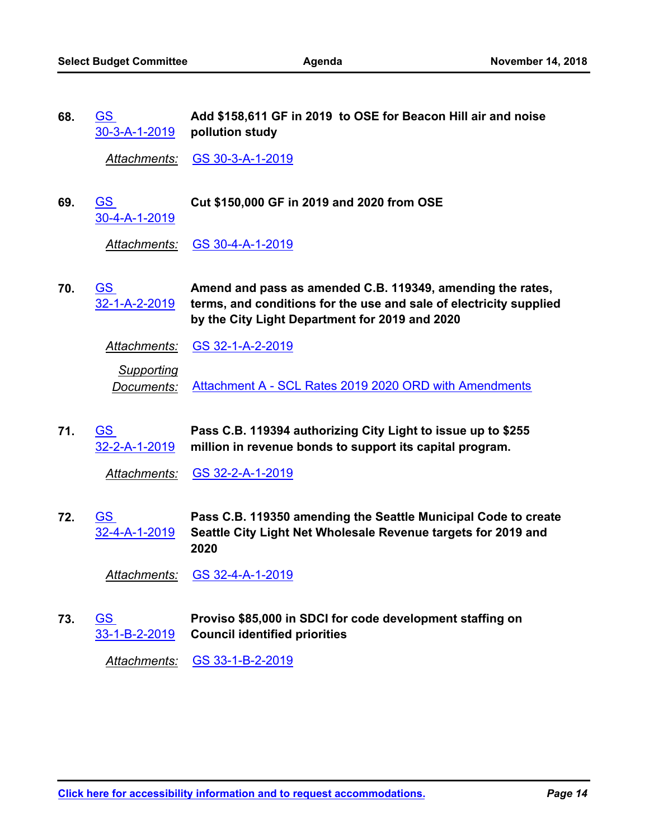| 68. | <u>GS</u><br><u>30-3-A-1-2019</u>  | Add \$158,611 GF in 2019 to OSE for Beacon Hill air and noise<br>pollution study                                                                                                   |
|-----|------------------------------------|------------------------------------------------------------------------------------------------------------------------------------------------------------------------------------|
|     | <u>Attachments:</u>                | GS 30-3-A-1-2019                                                                                                                                                                   |
| 69. | <u>GS_</u><br>30-4-A-1-2019        | Cut \$150,000 GF in 2019 and 2020 from OSE                                                                                                                                         |
|     | Attachments:                       | <u>GS 30-4-A-1-2019</u>                                                                                                                                                            |
| 70. | <u>GS_</u><br><u>32-1-A-2-2019</u> | Amend and pass as amended C.B. 119349, amending the rates,<br>terms, and conditions for the use and sale of electricity supplied<br>by the City Light Department for 2019 and 2020 |
|     | <u>Attachments:</u>                | <u>GS 32-1-A-2-2019</u>                                                                                                                                                            |
|     | Supporting<br>Documents:           | Attachment A - SCL Rates 2019 2020 ORD with Amendments                                                                                                                             |
| 71. | <u>GS</u><br>32-2-A-1-2019         | Pass C.B. 119394 authorizing City Light to issue up to \$255<br>million in revenue bonds to support its capital program.                                                           |
|     | Attachments:                       | <u>GS 32-2-A-1-2019</u>                                                                                                                                                            |
|     |                                    |                                                                                                                                                                                    |

**Pass C.B. 119350 amending the Seattle Municipal Code to create Seattle City Light Net Wholesale Revenue targets for 2019 and 2020** <u>GS</u> [32-4-A-1-2019](http://seattle.legistar.com/gateway.aspx?m=l&id=/matter.aspx?key=8096) **72.**

*Attachments:* [GS 32-4-A-1-2019](http://seattle.legistar.com/gateway.aspx?M=F&ID=0848dea3-b956-4c6d-be23-7352b8dbe9c1.docx)

**Proviso \$85,000 in SDCI for code development staffing on Council identified priorities** GS [33-1-B-2-2019](http://seattle.legistar.com/gateway.aspx?m=l&id=/matter.aspx?key=8097) **73.**

*Attachments:* [GS 33-1-B-2-2019](http://seattle.legistar.com/gateway.aspx?M=F&ID=b0878e78-9c67-4f9c-bf9b-77e95bbabbdc.docx)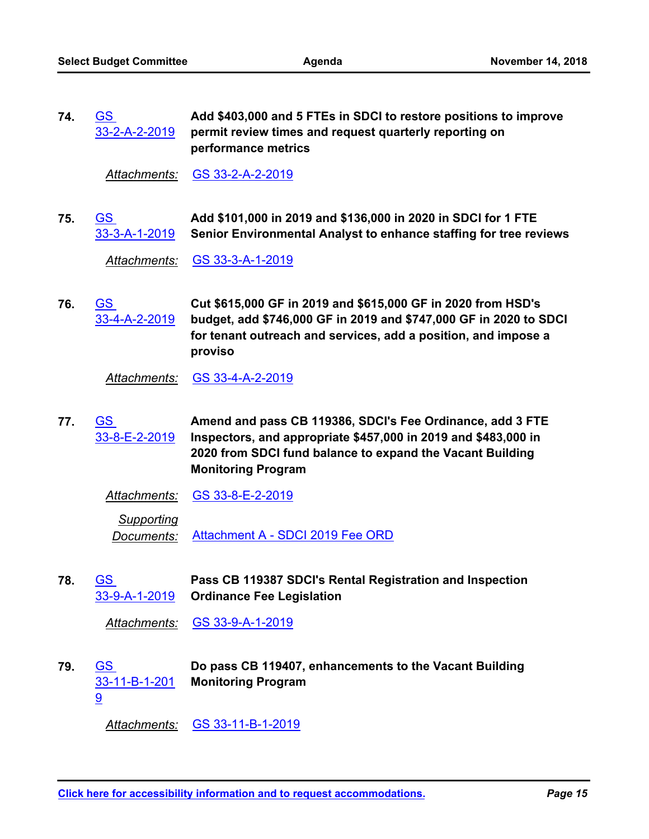**Add \$403,000 and 5 FTEs in SDCI to restore positions to improve permit review times and request quarterly reporting on performance metrics** <u>GS</u> [33-2-A-2-2019](http://seattle.legistar.com/gateway.aspx?m=l&id=/matter.aspx?key=8033) **74.**

*Attachments:* [GS 33-2-A-2-2019](http://seattle.legistar.com/gateway.aspx?M=F&ID=0eb568e9-57e5-45ef-8c8a-82eabbf20098.docx)

**Add \$101,000 in 2019 and \$136,000 in 2020 in SDCI for 1 FTE Senior Environmental Analyst to enhance staffing for tree reviews** GS [33-3-A-1-2019](http://seattle.legistar.com/gateway.aspx?m=l&id=/matter.aspx?key=7798) **75.**

*Attachments:* [GS 33-3-A-1-2019](http://seattle.legistar.com/gateway.aspx?M=F&ID=6098379e-9a01-4a10-a5b3-16b841eb6412.docx)

**Cut \$615,000 GF in 2019 and \$615,000 GF in 2020 from HSD's budget, add \$746,000 GF in 2019 and \$747,000 GF in 2020 to SDCI for tenant outreach and services, add a position, and impose a proviso** GS [33-4-A-2-2019](http://seattle.legistar.com/gateway.aspx?m=l&id=/matter.aspx?key=8034) **76.**

*Attachments:* [GS 33-4-A-2-2019](http://seattle.legistar.com/gateway.aspx?M=F&ID=2c025607-2575-4ee1-a63f-a5621184b7eb.docx)

**Amend and pass CB 119386, SDCI's Fee Ordinance, add 3 FTE Inspectors, and appropriate \$457,000 in 2019 and \$483,000 in 2020 from SDCI fund balance to expand the Vacant Building Monitoring Program** GS [33-8-E-2-2019](http://seattle.legistar.com/gateway.aspx?m=l&id=/matter.aspx?key=8098) **77.**

| Attachments: | GS 33-8-E-2-2019 |
|--------------|------------------|
|              |                  |

*Supporting Documents:* [Attachment A - SDCI 2019 Fee ORD](http://seattle.legistar.com/gateway.aspx?M=F&ID=56d93501-f9fc-45b0-9044-777abb085117.pdf)

**Pass CB 119387 SDCI's Rental Registration and Inspection Ordinance Fee Legislation** GS [33-9-A-1-2019](http://seattle.legistar.com/gateway.aspx?m=l&id=/matter.aspx?key=7805) **78.**

*Attachments:* [GS 33-9-A-1-2019](http://seattle.legistar.com/gateway.aspx?M=F&ID=762ac785-95fc-4de0-b0f1-f396b0c6d25a.docx)

**Do pass CB 119407, enhancements to the Vacant Building Monitoring Program** GS [33-11-B-1-201](http://seattle.legistar.com/gateway.aspx?m=l&id=/matter.aspx?key=8099) 9 **79.**

*Attachments:* [GS 33-11-B-1-2019](http://seattle.legistar.com/gateway.aspx?M=F&ID=269dd214-d414-4375-b151-b251c33dea10.docx)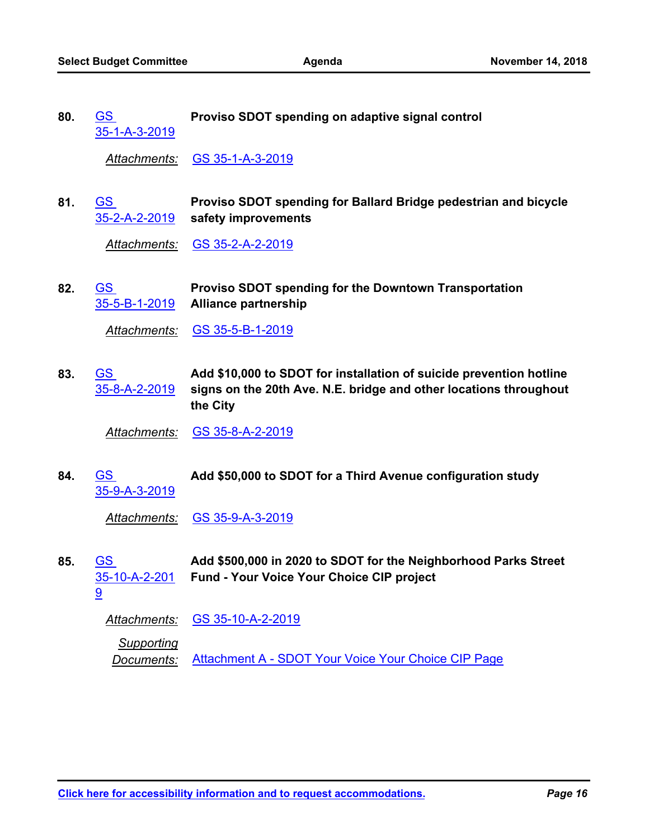| 80. | GS.           | Proviso SDOT spending on adaptive signal control |
|-----|---------------|--------------------------------------------------|
|     | 35-1-A-3-2019 |                                                  |

*Attachments:* [GS 35-1-A-3-2019](http://seattle.legistar.com/gateway.aspx?M=F&ID=abbccabe-7a88-47e7-8dbe-dae82eedeaa4.docx)

**Proviso SDOT spending for Ballard Bridge pedestrian and bicycle safety improvements** GS [35-2-A-2-2019](http://seattle.legistar.com/gateway.aspx?m=l&id=/matter.aspx?key=8038) **81.**

*Attachments:* [GS 35-2-A-2-2019](http://seattle.legistar.com/gateway.aspx?M=F&ID=5eda1f44-9ca3-4156-95ce-0de3d2bb0359.docx)

**Proviso SDOT spending for the Downtown Transportation Alliance partnership** GS [35-5-B-1-2019](http://seattle.legistar.com/gateway.aspx?m=l&id=/matter.aspx?key=8039) **82.**

*Attachments:* [GS 35-5-B-1-2019](http://seattle.legistar.com/gateway.aspx?M=F&ID=9bfaf534-401a-410d-a5a4-2e9e61fefb4e.docx)

**Add \$10,000 to SDOT for installation of suicide prevention hotline signs on the 20th Ave. N.E. bridge and other locations throughout the City** GS [35-8-A-2-2019](http://seattle.legistar.com/gateway.aspx?m=l&id=/matter.aspx?key=8040) **83.**

*Attachments:* [GS 35-8-A-2-2019](http://seattle.legistar.com/gateway.aspx?M=F&ID=f1bb7418-2395-4aa0-a555-a8b090d703e5.docx)

GS **Add \$50,000 to SDOT for a Third Avenue configuration study** [35-9-A-3-2019](http://seattle.legistar.com/gateway.aspx?m=l&id=/matter.aspx?key=8101) **84.**

*Attachments:* [GS 35-9-A-3-2019](http://seattle.legistar.com/gateway.aspx?M=F&ID=8c48dd71-c746-4b4f-b2b7-805682a03a7e.docx)

**Add \$500,000 in 2020 to SDOT for the Neighborhood Parks Street Fund - Your Voice Your Choice CIP project** GS [35-10-A-2-201](http://seattle.legistar.com/gateway.aspx?m=l&id=/matter.aspx?key=8042) **85.**

9

*Attachments:* [GS 35-10-A-2-2019](http://seattle.legistar.com/gateway.aspx?M=F&ID=b5ecd868-b760-454c-8f35-ae24bacccef5.docx)

*Supporting*

*Documents:* [Attachment A - SDOT Your Voice Your Choice CIP Page](http://seattle.legistar.com/gateway.aspx?M=F&ID=820be3f6-2d81-4b4d-8564-9d7df131aa30.pdf)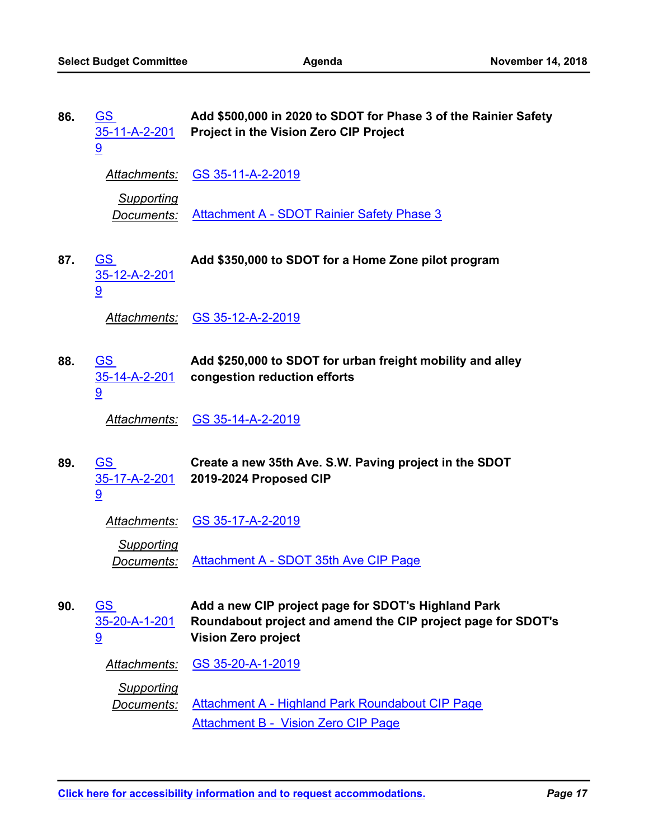| 86. | <u>GS</u><br>35-11-A-2-201<br>9        | Add \$500,000 in 2020 to SDOT for Phase 3 of the Rainier Safety<br>Project in the Vision Zero CIP Project                                         |
|-----|----------------------------------------|---------------------------------------------------------------------------------------------------------------------------------------------------|
|     | Attachments:                           | GS 35-11-A-2-2019                                                                                                                                 |
|     | <b>Supporting</b><br><u>Documents:</u> | <b>Attachment A - SDOT Rainier Safety Phase 3</b>                                                                                                 |
| 87. | <u>GS</u><br>35-12-A-2-201<br>9        | Add \$350,000 to SDOT for a Home Zone pilot program                                                                                               |
|     | <b>Attachments:</b>                    | <u>GS 35-12-A-2-2019</u>                                                                                                                          |
| 88. | <u>GS</u><br>35-14-A-2-201<br>9        | Add \$250,000 to SDOT for urban freight mobility and alley<br>congestion reduction efforts                                                        |
|     | <b>Attachments:</b>                    | <u>GS 35-14-A-2-2019</u>                                                                                                                          |
| 89. | <u>GS</u><br>35-17-A-2-201<br>9        | Create a new 35th Ave. S.W. Paving project in the SDOT<br>2019-2024 Proposed CIP                                                                  |
|     | <b>Attachments:</b>                    | <u>GS 35-17-A-2-2019</u>                                                                                                                          |
|     | <u>Supporting</u><br><u>Documents:</u> | Attachment A - SDOT 35th Ave CIP Page                                                                                                             |
| 90. | <u>GS</u><br>35-20-A-1-201<br>9        | Add a new CIP project page for SDOT's Highland Park<br>Roundabout project and amend the CIP project page for SDOT's<br><b>Vision Zero project</b> |
|     | Attachments:                           | GS 35-20-A-1-2019                                                                                                                                 |
|     | <b>Supporting</b><br><u>Documents:</u> | Attachment A - Highland Park Roundabout CIP Page<br><b>Attachment B - Vision Zero CIP Page</b>                                                    |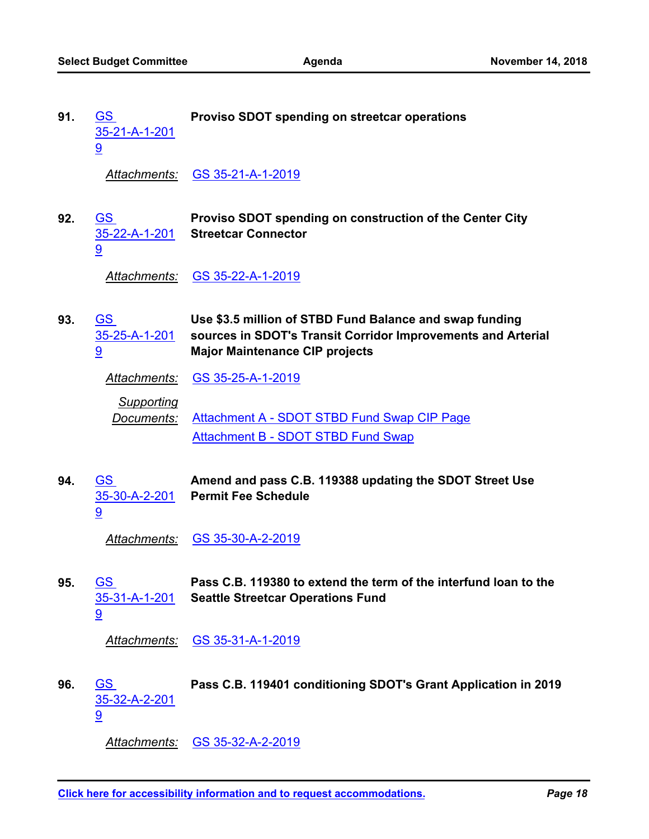| 91. | GS<br>$35 - 21 - A - 1 - 201$ | Proviso SDOT spending on streetcar operations |  |
|-----|-------------------------------|-----------------------------------------------|--|
|     |                               | Attachments: GS 35-21-A-1-2019                |  |

**Proviso SDOT spending on construction of the Center City Streetcar Connector** GS [35-22-A-1-201](http://seattle.legistar.com/gateway.aspx?m=l&id=/matter.aspx?key=8047) 9 **92.**

*Attachments:* [GS 35-22-A-1-2019](http://seattle.legistar.com/gateway.aspx?M=F&ID=57e28132-581e-48c3-b22e-7bc53d5f0043.docx)

**Use \$3.5 million of STBD Fund Balance and swap funding sources in SDOT's Transit Corridor Improvements and Arterial Major Maintenance CIP projects** GS [35-25-A-1-201](http://seattle.legistar.com/gateway.aspx?m=l&id=/matter.aspx?key=8048) 9 **93.**

*Attachments:* [GS 35-25-A-1-2019](http://seattle.legistar.com/gateway.aspx?M=F&ID=cff3fa95-0ae8-4afd-8c5a-89941e0fa74b.docx)

*Supporting Documents:* [Attachment A - SDOT STBD Fund Swap CIP Page](http://seattle.legistar.com/gateway.aspx?M=F&ID=7bac00af-6f9b-4f52-ad74-abec96c221f9.pdf) [Attachment B - SDOT STBD Fund Swap](http://seattle.legistar.com/gateway.aspx?M=F&ID=3594a5f0-b2d9-4322-9f92-0152090025c5.pdf)

**Amend and pass C.B. 119388 updating the SDOT Street Use Permit Fee Schedule** GS [35-30-A-2-201](http://seattle.legistar.com/gateway.aspx?m=l&id=/matter.aspx?key=8102) 9 **94.**

*Attachments:* [GS 35-30-A-2-2019](http://seattle.legistar.com/gateway.aspx?M=F&ID=d2d9768b-7184-46a2-aa6c-8f75e7a0a72e.docx)

**Pass C.B. 119380 to extend the term of the interfund loan to the Seattle Streetcar Operations Fund** GS [35-31-A-1-201](http://seattle.legistar.com/gateway.aspx?m=l&id=/matter.aspx?key=7893) 9 **95.**

*Attachments:* [GS 35-31-A-1-2019](http://seattle.legistar.com/gateway.aspx?M=F&ID=0bef5cc3-e218-4390-b6c5-53efaa0cab5e.docx)

GS **Pass C.B. 119401 conditioning SDOT's Grant Application in 2019** [35-32-A-2-201](http://seattle.legistar.com/gateway.aspx?m=l&id=/matter.aspx?key=8049) 9 **96.**

*Attachments:* [GS 35-32-A-2-2019](http://seattle.legistar.com/gateway.aspx?M=F&ID=4e45bcd3-ed44-4c40-8f9d-caba3ecc51a3.docx)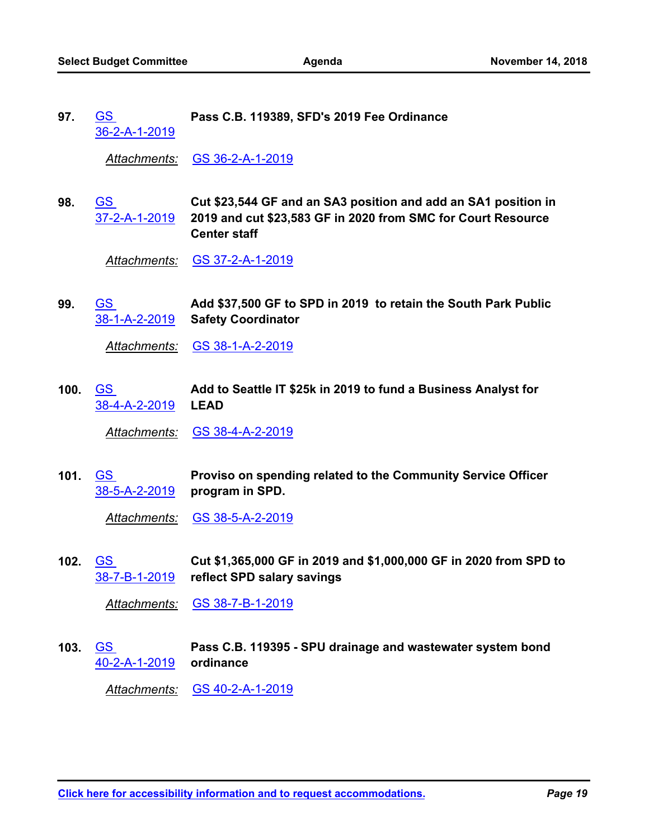GS **Pass C.B. 119389, SFD's 2019 Fee Ordinance** [36-2-A-1-2019](http://seattle.legistar.com/gateway.aspx?m=l&id=/matter.aspx?key=7895) **97.**

*Attachments:* [GS 36-2-A-1-2019](http://seattle.legistar.com/gateway.aspx?M=F&ID=c836bf09-63ce-425c-8caf-10faa71e6f0b.docx)

**Cut \$23,544 GF and an SA3 position and add an SA1 position in 2019 and cut \$23,583 GF in 2020 from SMC for Court Resource Center staff** GS [37-2-A-1-2019](http://seattle.legistar.com/gateway.aspx?m=l&id=/matter.aspx?key=8050) **98.**

*Attachments:* [GS 37-2-A-1-2019](http://seattle.legistar.com/gateway.aspx?M=F&ID=feb8a93b-f752-4834-9497-425e4c143238.docx)

**Add \$37,500 GF to SPD in 2019 to retain the South Park Public Safety Coordinator** GS [38-1-A-2-2019](http://seattle.legistar.com/gateway.aspx?m=l&id=/matter.aspx?key=8051) **99.**

*Attachments:* [GS 38-1-A-2-2019](http://seattle.legistar.com/gateway.aspx?M=F&ID=83a924a7-0b3a-4b67-a94d-3ec03daf38da.docx)

**Add to Seattle IT \$25k in 2019 to fund a Business Analyst for LEAD** [38-4-A-2-2019](http://seattle.legistar.com/gateway.aspx?m=l&id=/matter.aspx?key=8052) GS **100.**

*Attachments:* [GS 38-4-A-2-2019](http://seattle.legistar.com/gateway.aspx?M=F&ID=91020837-5a79-4689-962a-25a0057b3dc7.docx)

**Proviso on spending related to the Community Service Officer program in SPD.** [38-5-A-2-2019](http://seattle.legistar.com/gateway.aspx?m=l&id=/matter.aspx?key=8053) GS **101.**

*Attachments:* [GS 38-5-A-2-2019](http://seattle.legistar.com/gateway.aspx?M=F&ID=7309d851-ee83-47e2-92fb-fc4c25941e0e.docx)

**Cut \$1,365,000 GF in 2019 and \$1,000,000 GF in 2020 from SPD to reflect SPD salary savings** GS [38-7-B-1-2019](http://seattle.legistar.com/gateway.aspx?m=l&id=/matter.aspx?key=8054) **102.**

*Attachments:* [GS 38-7-B-1-2019](http://seattle.legistar.com/gateway.aspx?M=F&ID=69cf4251-e12c-4a9e-bfa4-0e4254910304.docx)

**Pass C.B. 119395 - SPU drainage and wastewater system bond ordinance** GS [40-2-A-1-2019](http://seattle.legistar.com/gateway.aspx?m=l&id=/matter.aspx?key=7900) **103.**

*Attachments:* [GS 40-2-A-1-2019](http://seattle.legistar.com/gateway.aspx?M=F&ID=9386320d-705b-4416-99e9-1f7fde35a240.docx)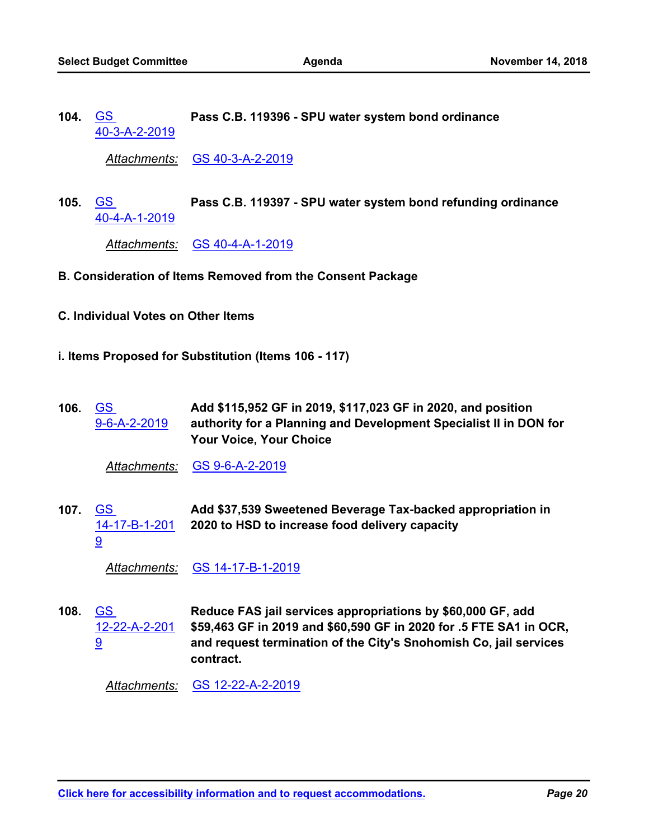GS **Pass C.B. 119396 - SPU water system bond ordinance** [40-3-A-2-2019](http://seattle.legistar.com/gateway.aspx?m=l&id=/matter.aspx?key=8055) **104.**

*Attachments:* [GS 40-3-A-2-2019](http://seattle.legistar.com/gateway.aspx?M=F&ID=eb4ea88b-0616-4dca-af55-0211f941c616.docx)

GS **Pass C.B. 119397 - SPU water system bond refunding ordinance** [40-4-A-1-2019](http://seattle.legistar.com/gateway.aspx?m=l&id=/matter.aspx?key=7902) **105.**

*Attachments:* [GS 40-4-A-1-2019](http://seattle.legistar.com/gateway.aspx?M=F&ID=4e86b6d1-345a-4824-93d9-810356fc1cfb.docx)

- **B. Consideration of Items Removed from the Consent Package**
- **C. Individual Votes on Other Items**
- **i. Items Proposed for Substitution (Items 106 117)**
- **Add \$115,952 GF in 2019, \$117,023 GF in 2020, and position authority for a Planning and Development Specialist II in DON for Your Voice, Your Choice** GS [9-6-A-2-2019](http://seattle.legistar.com/gateway.aspx?m=l&id=/matter.aspx?key=7977) **106.**

*Attachments:* [GS 9-6-A-2-2019](http://seattle.legistar.com/gateway.aspx?M=F&ID=17ec7e5e-ef02-49df-a859-c7f66f01d061.docx)

**Add \$37,539 Sweetened Beverage Tax-backed appropriation in 2020 to HSD to increase food delivery capacity** GS [14-17-B-1-201](http://seattle.legistar.com/gateway.aspx?m=l&id=/matter.aspx?key=8003) 9 **107.**

*Attachments:* [GS 14-17-B-1-2019](http://seattle.legistar.com/gateway.aspx?M=F&ID=1e21c079-4201-4b97-8dd5-f911a2d2ddbc.docx)

**Reduce FAS jail services appropriations by \$60,000 GF, add \$59,463 GF in 2019 and \$60,590 GF in 2020 for .5 FTE SA1 in OCR, and request termination of the City's Snohomish Co, jail services contract.** GS [12-22-A-2-201](http://seattle.legistar.com/gateway.aspx?m=l&id=/matter.aspx?key=7991) 9 **108.**

*Attachments:* [GS 12-22-A-2-2019](http://seattle.legistar.com/gateway.aspx?M=F&ID=62a4ec32-fe96-4885-bb11-24862e0864c5.docx)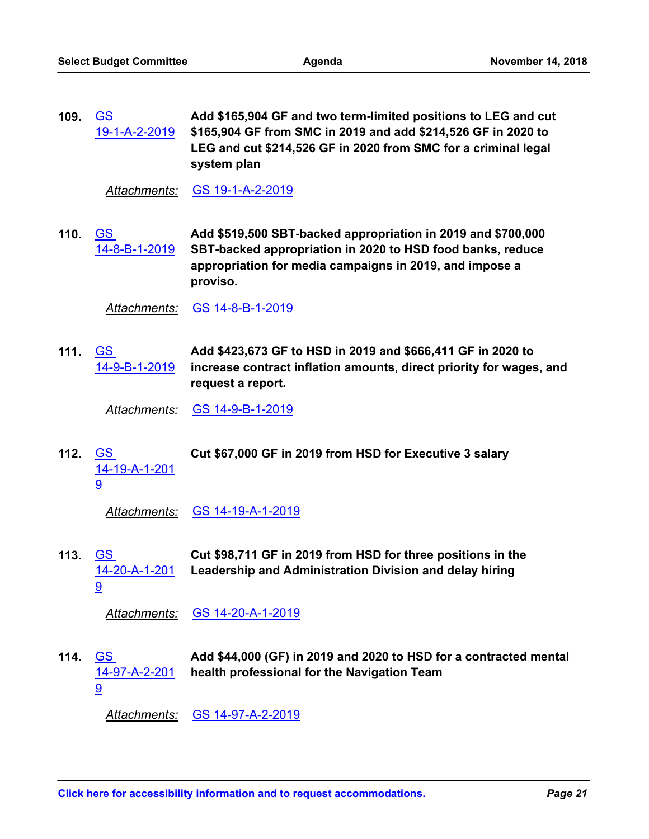**Add \$165,904 GF and two term-limited positions to LEG and cut \$165,904 GF from SMC in 2019 and add \$214,526 GF in 2020 to LEG and cut \$214,526 GF in 2020 from SMC for a criminal legal system plan** <u>GS</u> [19-1-A-2-2019](http://seattle.legistar.com/gateway.aspx?m=l&id=/matter.aspx?key=8019) **109.**

*Attachments:* [GS 19-1-A-2-2019](http://seattle.legistar.com/gateway.aspx?M=F&ID=4a99be5f-705b-4f5d-a19b-ae03f077d53d.docx)

**Add \$519,500 SBT-backed appropriation in 2019 and \$700,000 SBT-backed appropriation in 2020 to HSD food banks, reduce appropriation for media campaigns in 2019, and impose a proviso.** GS [14-8-B-1-2019](http://seattle.legistar.com/gateway.aspx?m=l&id=/matter.aspx?key=7999) **110.**

*Attachments:* [GS 14-8-B-1-2019](http://seattle.legistar.com/gateway.aspx?M=F&ID=fb3e4127-ddcc-412c-8a65-0695895eaef8.docx)

**Add \$423,673 GF to HSD in 2019 and \$666,411 GF in 2020 to increase contract inflation amounts, direct priority for wages, and request a report.** GS [14-9-B-1-2019](http://seattle.legistar.com/gateway.aspx?m=l&id=/matter.aspx?key=8000) **111.**

*Attachments:* [GS 14-9-B-1-2019](http://seattle.legistar.com/gateway.aspx?M=F&ID=6a23fe64-f733-4bdf-8406-5ceb20a1d5a5.docx)

GS **Cut \$67,000 GF in 2019 from HSD for Executive 3 salary** [14-19-A-1-201](http://seattle.legistar.com/gateway.aspx?m=l&id=/matter.aspx?key=8004) 9 **112.**

*Attachments:* [GS 14-19-A-1-2019](http://seattle.legistar.com/gateway.aspx?M=F&ID=b893f48a-60ca-449c-b08c-45ff4acfa95a.docx)

**Cut \$98,711 GF in 2019 from HSD for three positions in the Leadership and Administration Division and delay hiring** GS [14-20-A-1-201](http://seattle.legistar.com/gateway.aspx?m=l&id=/matter.aspx?key=8005) 9 **113.**

*Attachments:* [GS 14-20-A-1-2019](http://seattle.legistar.com/gateway.aspx?M=F&ID=8dee1daf-5eec-48fb-8a80-8cc2ad8423bf.docx)

**Add \$44,000 (GF) in 2019 and 2020 to HSD for a contracted mental health professional for the Navigation Team** GS [14-97-A-2-201](http://seattle.legistar.com/gateway.aspx?m=l&id=/matter.aspx?key=8007) 9 **114.**

*Attachments:* [GS 14-97-A-2-2019](http://seattle.legistar.com/gateway.aspx?M=F&ID=1ee0b9c9-7ea9-4c58-bbc4-2f4d4cef7879.docx)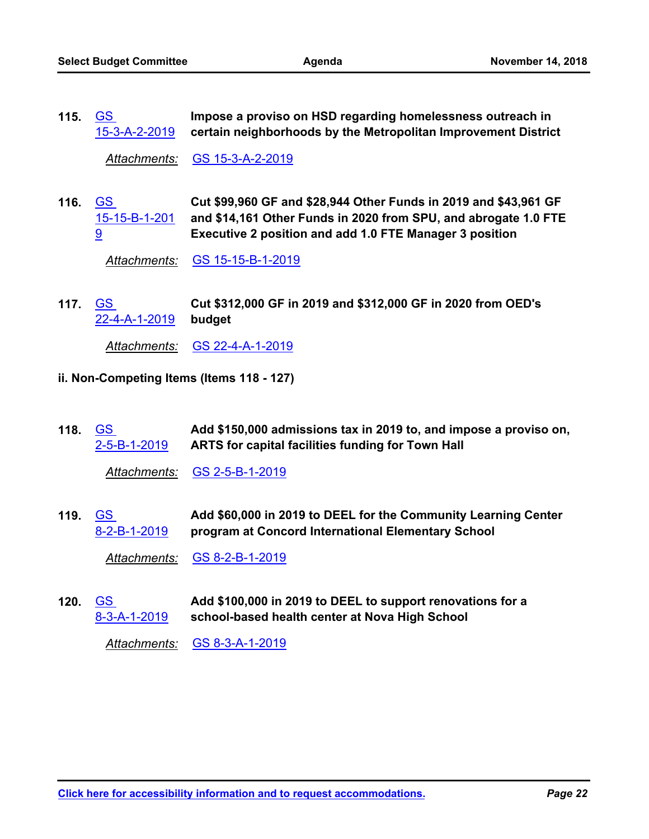**Impose a proviso on HSD regarding homelessness outreach in certain neighborhoods by the Metropolitan Improvement District** GS [15-3-A-2-2019](http://seattle.legistar.com/gateway.aspx?m=l&id=/matter.aspx?key=8011) **115.**

*Attachments:* [GS 15-3-A-2-2019](http://seattle.legistar.com/gateway.aspx?M=F&ID=37b920e4-7142-418b-bf2a-ba6ad8474636.docx)

**Cut \$99,960 GF and \$28,944 Other Funds in 2019 and \$43,961 GF and \$14,161 Other Funds in 2020 from SPU, and abrogate 1.0 FTE Executive 2 position and add 1.0 FTE Manager 3 position** GS [15-15-B-1-201](http://seattle.legistar.com/gateway.aspx?m=l&id=/matter.aspx?key=8017) 9 **116.**

*Attachments:* [GS 15-15-B-1-2019](http://seattle.legistar.com/gateway.aspx?M=F&ID=28659188-d91d-4063-a3b4-59c3812fee51.docx)

**Cut \$312,000 GF in 2019 and \$312,000 GF in 2020 from OED's budget** 117. <u>GS</u> [22-4-A-1-2019](http://seattle.legistar.com/gateway.aspx?m=l&id=/matter.aspx?key=8024)

*Attachments:* [GS 22-4-A-1-2019](http://seattle.legistar.com/gateway.aspx?M=F&ID=c739e6f4-67c5-4d3d-b658-d942c952b8bf.docx)

- **ii. Non-Competing Items (Items 118 127)**
- **Add \$150,000 admissions tax in 2019 to, and impose a proviso on, ARTS for capital facilities funding for Town Hall** GS [2-5-B-1-2019](http://seattle.legistar.com/gateway.aspx?m=l&id=/matter.aspx?key=8111) **118.**

*Attachments:* [GS 2-5-B-1-2019](http://seattle.legistar.com/gateway.aspx?M=F&ID=02468565-e5bd-419b-990d-3c3985198b09.docx)

**Add \$60,000 in 2019 to DEEL for the Community Learning Center program at Concord International Elementary School** GS [8-2-B-1-2019](http://seattle.legistar.com/gateway.aspx?m=l&id=/matter.aspx?key=8112) **119.**

*Attachments:* [GS 8-2-B-1-2019](http://seattle.legistar.com/gateway.aspx?M=F&ID=29fd823a-2f71-42f8-beb7-76f8101897b1.docx)

**Add \$100,000 in 2019 to DEEL to support renovations for a school-based health center at Nova High School** GS [8-3-A-1-2019](http://seattle.legistar.com/gateway.aspx?m=l&id=/matter.aspx?key=8113) **120.**

*Attachments:* [GS 8-3-A-1-2019](http://seattle.legistar.com/gateway.aspx?M=F&ID=c8ad6150-4182-490e-a4c8-33239b77b2b3.docx)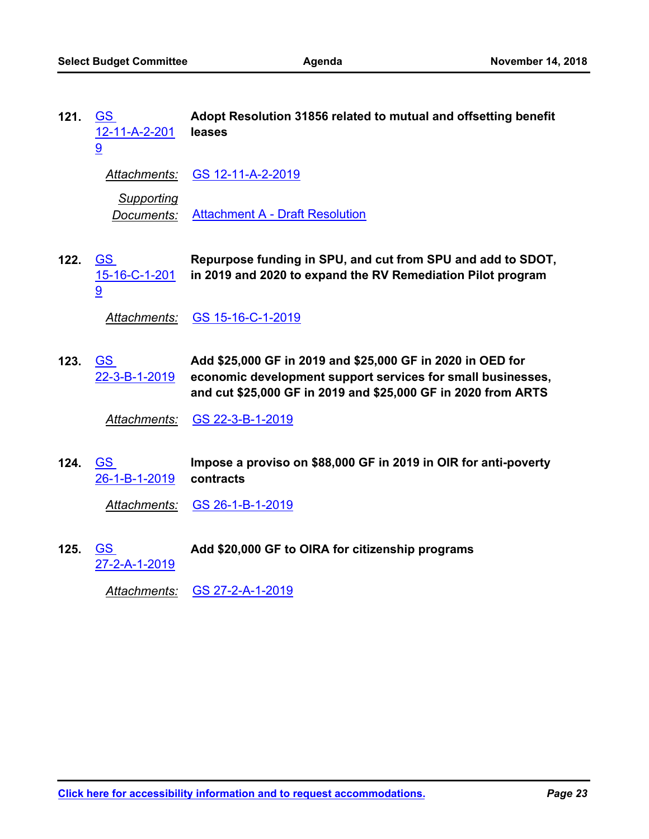| 121. | <b>GS</b><br><u>12-11-A-2-201</u><br>9            | Adopt Resolution 31856 related to mutual and offsetting benefit<br>leases                                                                                                                  |
|------|---------------------------------------------------|--------------------------------------------------------------------------------------------------------------------------------------------------------------------------------------------|
|      |                                                   | Attachments: GS 12-11-A-2-2019                                                                                                                                                             |
|      | <b>Supporting</b><br>Documents:                   | <b>Attachment A - Draft Resolution</b>                                                                                                                                                     |
| 122. | <b>GS</b><br><u>15-16-C-1-201</u><br>9            | Repurpose funding in SPU, and cut from SPU and add to SDOT,<br>in 2019 and 2020 to expand the RV Remediation Pilot program                                                                 |
|      | <u> Attachments:</u>                              | GS 15-16-C-1-2019                                                                                                                                                                          |
| 123. | $\underline{\mathsf{GS}}$<br><u>22-3-B-1-2019</u> | Add \$25,000 GF in 2019 and \$25,000 GF in 2020 in OED for<br>economic development support services for small businesses,<br>and cut \$25,000 GF in 2019 and \$25,000 GF in 2020 from ARTS |
|      | <b>Attachments:</b>                               | GS 22-3-B-1-2019                                                                                                                                                                           |
| 124. | GS<br><u>26-1-B-1-2019</u>                        | Impose a proviso on \$88,000 GF in 2019 in OIR for anti-poverty<br>contracts                                                                                                               |
|      | Attachments:                                      | GS 26-1-B-1-2019                                                                                                                                                                           |

Add \$20,000 GF to OIRA for citizenship programs [27-2-A-1-2019](http://seattle.legistar.com/gateway.aspx?m=l&id=/matter.aspx?key=8118) **125.**

*Attachments:* [GS 27-2-A-1-2019](http://seattle.legistar.com/gateway.aspx?M=F&ID=a62f77fd-d771-4d18-b470-a95679d4d328.docx)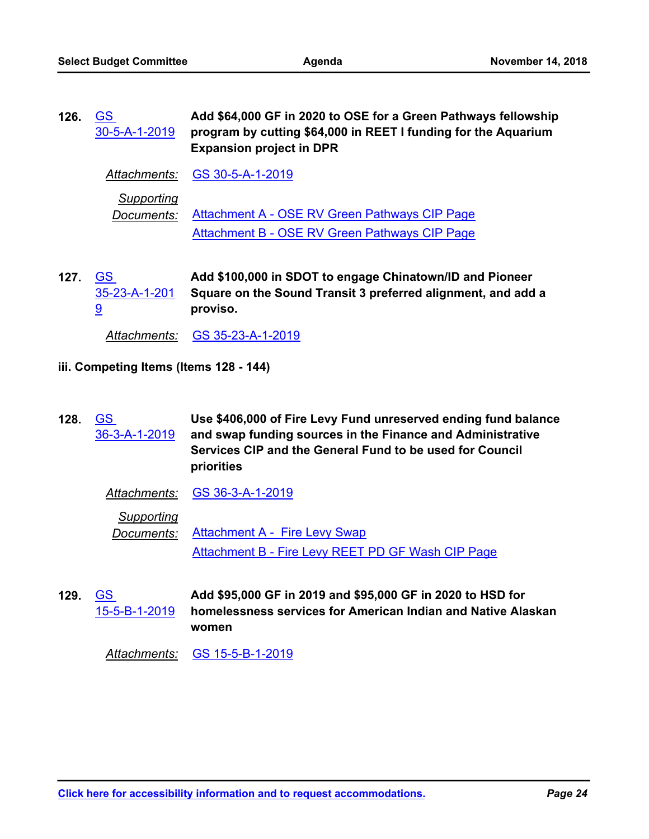| 126. | <b>GS</b><br>30-5-A-1-2019 | Add \$64,000 GF in 2020 to OSE for a Green Pathways fellowship<br>program by cutting \$64,000 in REET I funding for the Aquarium<br><b>Expansion project in DPR</b> |
|------|----------------------------|---------------------------------------------------------------------------------------------------------------------------------------------------------------------|
|      |                            | Attachments: GS 30-5-A-1-2019                                                                                                                                       |
|      | Supporting<br>Documents:   | Attachment A - OSE RV Green Pathways CIP Page<br>Attachment B - OSE RV Green Pathways CIP Page                                                                      |

**Add \$100,000 in SDOT to engage Chinatown/ID and Pioneer Square on the Sound Transit 3 preferred alignment, and add a proviso.** 127. <u>GS</u> [35-23-A-1-201](http://seattle.legistar.com/gateway.aspx?m=l&id=/matter.aspx?key=8120) 9

*Attachments:* [GS 35-23-A-1-2019](http://seattle.legistar.com/gateway.aspx?M=F&ID=0969d4be-10af-4693-bf53-b336c02db1e4.docx)

- **iii. Competing Items (Items 128 144)**
- **Use \$406,000 of Fire Levy Fund unreserved ending fund balance and swap funding sources in the Finance and Administrative Services CIP and the General Fund to be used for Council priorities** GS [36-3-A-1-2019](http://seattle.legistar.com/gateway.aspx?m=l&id=/matter.aspx?key=8127) **128.**

| Attachments: | GS 36-3-A-1-2019 |
|--------------|------------------|
|--------------|------------------|

*Supporting*

*Documents:* [Attachment A - Fire Levy Swap](http://seattle.legistar.com/gateway.aspx?M=F&ID=f519e727-53e1-4534-af93-d0dfd4b7f941.pdf) [Attachment B - Fire Levy REET PD GF Wash CIP Page](http://seattle.legistar.com/gateway.aspx?M=F&ID=f2a9bdb1-ada3-4fb8-b1d1-3d8a97ffb2ea.pdf)

**Add \$95,000 GF in 2019 and \$95,000 GF in 2020 to HSD for homelessness services for American Indian and Native Alaskan women** 129. <u>GS</u> [15-5-B-1-2019](http://seattle.legistar.com/gateway.aspx?m=l&id=/matter.aspx?key=8121)

*Attachments:* [GS 15-5-B-1-2019](http://seattle.legistar.com/gateway.aspx?M=F&ID=73720de0-9629-4884-997e-48a5d05f5b11.docx)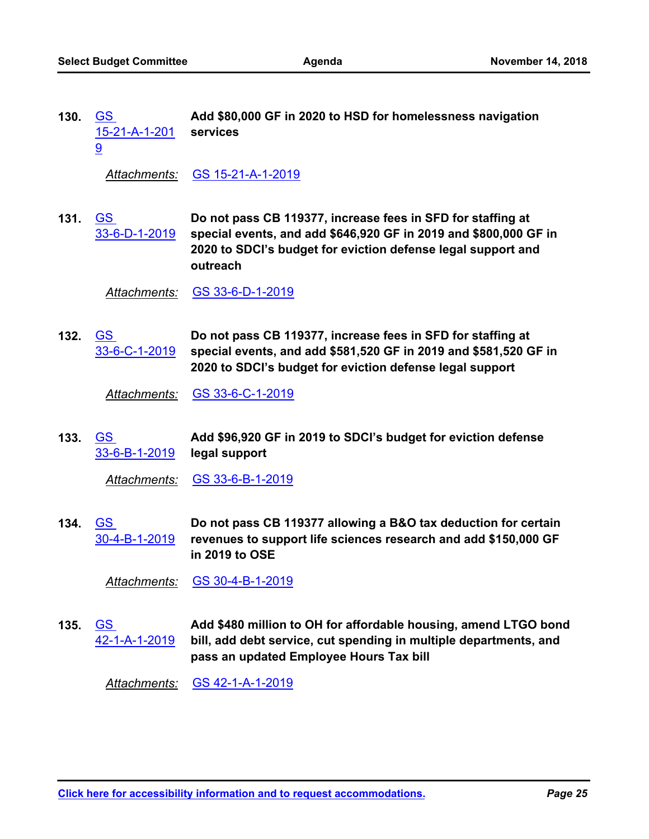**Add \$80,000 GF in 2020 to HSD for homelessness navigation services** GS [15-21-A-1-201](http://seattle.legistar.com/gateway.aspx?m=l&id=/matter.aspx?key=8122) 9 **130.**

*Attachments:* [GS 15-21-A-1-2019](http://seattle.legistar.com/gateway.aspx?M=F&ID=b8346b6e-f2e1-4c2e-9ba7-0865310f2dff.docx)

**Do not pass CB 119377, increase fees in SFD for staffing at special events, and add \$646,920 GF in 2019 and \$800,000 GF in 2020 to SDCI's budget for eviction defense legal support and outreach** 131. <u>GS</u> [33-6-D-1-2019](http://seattle.legistar.com/gateway.aspx?m=l&id=/matter.aspx?key=8126)

*Attachments:* [GS 33-6-D-1-2019](http://seattle.legistar.com/gateway.aspx?M=F&ID=7e91d3be-58f1-4aee-8263-86dd9b3f88ff.docx)

**Do not pass CB 119377, increase fees in SFD for staffing at special events, and add \$581,520 GF in 2019 and \$581,520 GF in 2020 to SDCI's budget for eviction defense legal support** GS [33-6-C-1-2019](http://seattle.legistar.com/gateway.aspx?m=l&id=/matter.aspx?key=8125) **132.**

*Attachments:* [GS 33-6-C-1-2019](http://seattle.legistar.com/gateway.aspx?M=F&ID=216fbcaa-8da2-42f3-ad47-37389a6b21b3.docx)

**Add \$96,920 GF in 2019 to SDCI's budget for eviction defense legal support** 133. <u>GS</u> [33-6-B-1-2019](http://seattle.legistar.com/gateway.aspx?m=l&id=/matter.aspx?key=8124)

*Attachments:* [GS 33-6-B-1-2019](http://seattle.legistar.com/gateway.aspx?M=F&ID=c840e076-314a-4a36-bb9d-05dcfd1dcb0d.docx)

**Do not pass CB 119377 allowing a B&O tax deduction for certain revenues to support life sciences research and add \$150,000 GF in 2019 to OSE** GS [30-4-B-1-2019](http://seattle.legistar.com/gateway.aspx?m=l&id=/matter.aspx?key=8123) **134.**

*Attachments:* [GS 30-4-B-1-2019](http://seattle.legistar.com/gateway.aspx?M=F&ID=82d8f4cd-2dda-4e8a-a13e-a7a7c43d5a48.docx)

**Add \$480 million to OH for affordable housing, amend LTGO bond bill, add debt service, cut spending in multiple departments, and pass an updated Employee Hours Tax bill** GS [42-1-A-1-2019](http://seattle.legistar.com/gateway.aspx?m=l&id=/matter.aspx?key=8128) **135.**

*Attachments:* [GS 42-1-A-1-2019](http://seattle.legistar.com/gateway.aspx?M=F&ID=c5098dd5-29c6-4d85-ba66-4caeb16d76f6.docx)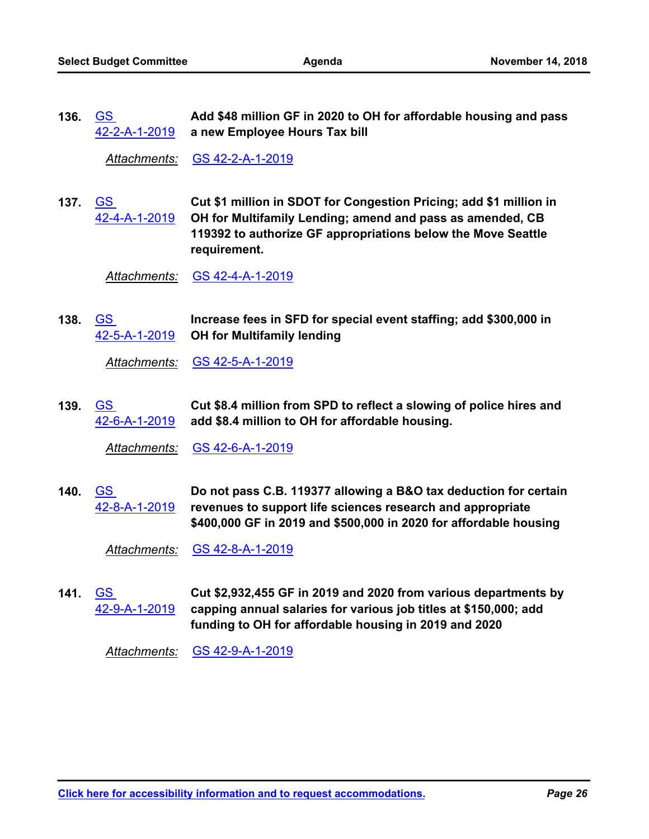**Add \$48 million GF in 2020 to OH for affordable housing and pass a new Employee Hours Tax bill** <u>GS</u> [42-2-A-1-2019](http://seattle.legistar.com/gateway.aspx?m=l&id=/matter.aspx?key=8129) **136.**

*Attachments:* [GS 42-2-A-1-2019](http://seattle.legistar.com/gateway.aspx?M=F&ID=fa6b564f-3c16-49f2-9f80-75da77317bae.docx)

**Cut \$1 million in SDOT for Congestion Pricing; add \$1 million in OH for Multifamily Lending; amend and pass as amended, CB 119392 to authorize GF appropriations below the Move Seattle requirement.** GS [42-4-A-1-2019](http://seattle.legistar.com/gateway.aspx?m=l&id=/matter.aspx?key=8130) **137.**

*Attachments:* [GS 42-4-A-1-2019](http://seattle.legistar.com/gateway.aspx?M=F&ID=9d1f5af7-252c-4f24-b0a4-068f5636fa30.docx)

**Increase fees in SFD for special event staffing; add \$300,000 in OH for Multifamily lending** GS [42-5-A-1-2019](http://seattle.legistar.com/gateway.aspx?m=l&id=/matter.aspx?key=8131) **138.**

*Attachments:* [GS 42-5-A-1-2019](http://seattle.legistar.com/gateway.aspx?M=F&ID=08b4fa06-b5dc-4889-b36c-9ba52cf5c1e9.docx)

**Cut \$8.4 million from SPD to reflect a slowing of police hires and add \$8.4 million to OH for affordable housing.** <u>GS</u> [42-6-A-1-2019](http://seattle.legistar.com/gateway.aspx?m=l&id=/matter.aspx?key=8132) **139.**

*Attachments:* [GS 42-6-A-1-2019](http://seattle.legistar.com/gateway.aspx?M=F&ID=43825ef7-29db-46bf-86d5-5d76ae307624.docx)

**Do not pass C.B. 119377 allowing a B&O tax deduction for certain revenues to support life sciences research and appropriate \$400,000 GF in 2019 and \$500,000 in 2020 for affordable housing** GS [42-8-A-1-2019](http://seattle.legistar.com/gateway.aspx?m=l&id=/matter.aspx?key=8133) **140.**

*Attachments:* [GS 42-8-A-1-2019](http://seattle.legistar.com/gateway.aspx?M=F&ID=2f172d4b-0c70-43a0-afc0-3d854b3b44b2.docx)

**Cut \$2,932,455 GF in 2019 and 2020 from various departments by capping annual salaries for various job titles at \$150,000; add funding to OH for affordable housing in 2019 and 2020** GS [42-9-A-1-2019](http://seattle.legistar.com/gateway.aspx?m=l&id=/matter.aspx?key=8134) **141.**

*Attachments:* [GS 42-9-A-1-2019](http://seattle.legistar.com/gateway.aspx?M=F&ID=084c1515-1e56-43ca-a295-cddb2846de20.docx)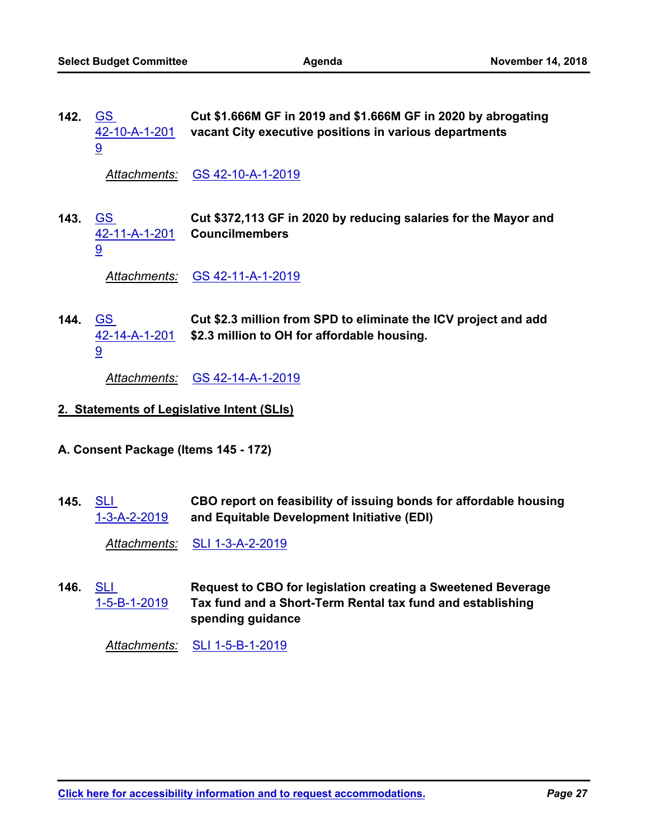**Cut \$1.666M GF in 2019 and \$1.666M GF in 2020 by abrogating vacant City executive positions in various departments** GS [42-10-A-1-201](http://seattle.legistar.com/gateway.aspx?m=l&id=/matter.aspx?key=8135) 9 **142.**

*Attachments:* [GS 42-10-A-1-2019](http://seattle.legistar.com/gateway.aspx?M=F&ID=6e1985fa-8e10-4f92-95dc-ee8b5532f040.docx)

**Cut \$372,113 GF in 2020 by reducing salaries for the Mayor and Councilmembers** 143. <u>GS</u> [42-11-A-1-201](http://seattle.legistar.com/gateway.aspx?m=l&id=/matter.aspx?key=8136) 9

*Attachments:* [GS 42-11-A-1-2019](http://seattle.legistar.com/gateway.aspx?M=F&ID=0a807272-3426-4c5d-a81b-67f76df109ef.docx)

**Cut \$2.3 million from SPD to eliminate the ICV project and add \$2.3 million to OH for affordable housing.** 144. <u>GS</u> [42-14-A-1-201](http://seattle.legistar.com/gateway.aspx?m=l&id=/matter.aspx?key=8137) 9

*Attachments:* [GS 42-14-A-1-2019](http://seattle.legistar.com/gateway.aspx?M=F&ID=b2b9dc85-f346-4a98-a153-574220d2aef8.docx)

- **2. Statements of Legislative Intent (SLIs)**
- **A. Consent Package (Items 145 172)**
- **CBO report on feasibility of issuing bonds for affordable housing and Equitable Development Initiative (EDI) SLI** [1-3-A-2-2019](http://seattle.legistar.com/gateway.aspx?m=l&id=/matter.aspx?key=8058) **145.**

*Attachments:* [SLI 1-3-A-2-2019](http://seattle.legistar.com/gateway.aspx?M=F&ID=f3483237-e26c-4c63-af68-4758c9bdd6ae.docx)

**Request to CBO for legislation creating a Sweetened Beverage Tax fund and a Short-Term Rental tax fund and establishing spending guidance SLI** [1-5-B-1-2019](http://seattle.legistar.com/gateway.aspx?m=l&id=/matter.aspx?key=8059) **146.**

*Attachments:* [SLI 1-5-B-1-2019](http://seattle.legistar.com/gateway.aspx?M=F&ID=c98d29e7-3dd1-4cfe-990e-8cca857417a1.docx)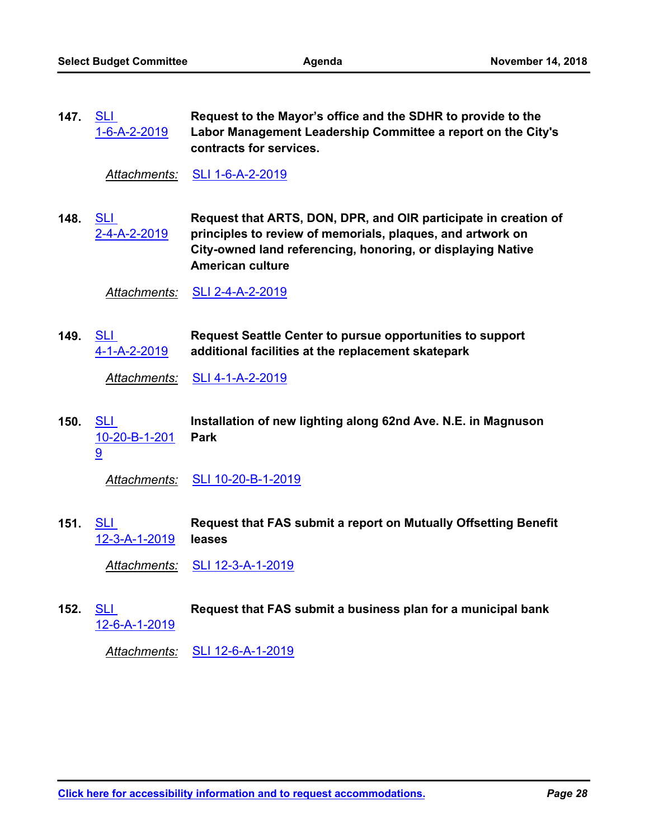147. <u>SLI</u>

**Request to the Mayor's office and the SDHR to provide to the** 

|      | 1-6-A-2-2019                       | Labor Management Leadership Committee a report on the City's<br>contracts for services.                                                                                                                                 |
|------|------------------------------------|-------------------------------------------------------------------------------------------------------------------------------------------------------------------------------------------------------------------------|
|      | Attachments:                       | SLI 1-6-A-2-2019                                                                                                                                                                                                        |
| 148. | <b>SLI</b><br>2-4-A-2-2019         | Request that ARTS, DON, DPR, and OIR participate in creation of<br>principles to review of memorials, plaques, and artwork on<br>City-owned land referencing, honoring, or displaying Native<br><b>American culture</b> |
|      | Attachments:                       | SLI 2-4-A-2-2019                                                                                                                                                                                                        |
| 149. | <b>SLI</b><br>4-1-A-2-2019         | <b>Request Seattle Center to pursue opportunities to support</b><br>additional facilities at the replacement skatepark                                                                                                  |
|      | Attachments:                       | SLI 4-1-A-2-2019                                                                                                                                                                                                        |
| 150. | <b>SLI</b><br>10-20-B-1-201<br>9   | Installation of new lighting along 62nd Ave. N.E. in Magnuson<br><b>Park</b>                                                                                                                                            |
|      | <u>Attachments:</u>                | SLI 10-20-B-1-2019                                                                                                                                                                                                      |
| 151. | <b>SLI</b><br>12-3-A-1-2019        | Request that FAS submit a report on Mutually Offsetting Benefit<br>leases                                                                                                                                               |
|      | <u> Attachments:</u>               | SLI 12-3-A-1-2019                                                                                                                                                                                                       |
| 152. | <u>SLI</u><br><u>12-6-A-1-2019</u> | Request that FAS submit a business plan for a municipal bank                                                                                                                                                            |
|      | <b>Attachments:</b>                | SLI 12-6-A-1-2019                                                                                                                                                                                                       |
|      |                                    |                                                                                                                                                                                                                         |
|      |                                    |                                                                                                                                                                                                                         |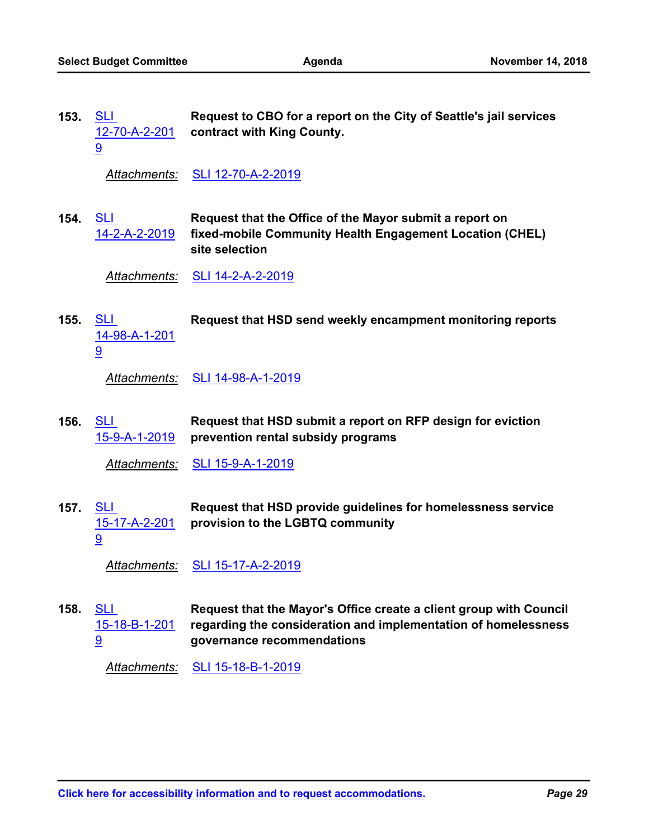| 153. | <b>SLI</b><br><u>12-70-A-2-201</u><br>9 | Request to CBO for a report on the City of Seattle's jail services<br>contract with King County.                                                                   |
|------|-----------------------------------------|--------------------------------------------------------------------------------------------------------------------------------------------------------------------|
|      | <u> Attachments:</u>                    | SLI 12-70-A-2-2019                                                                                                                                                 |
| 154. | <b>SLI</b><br><u>14-2-A-2-2019</u>      | Request that the Office of the Mayor submit a report on<br>fixed-mobile Community Health Engagement Location (CHEL)<br>site selection                              |
|      | <u>Attachments:</u>                     | <u>SLI 14-2-A-2-2019</u>                                                                                                                                           |
| 155. | <b>SLI</b><br>14-98-A-1-201<br>9        | Request that HSD send weekly encampment monitoring reports                                                                                                         |
|      | Attachments:                            | SLI 14-98-A-1-2019                                                                                                                                                 |
| 156. | <b>SLI</b><br><u>15-9-A-1-2019</u>      | Request that HSD submit a report on RFP design for eviction<br>prevention rental subsidy programs                                                                  |
|      |                                         |                                                                                                                                                                    |
|      | <b>Attachments:</b>                     | <u>SLI 15-9-A-1-2019</u>                                                                                                                                           |
| 157. | <u>SLI</u><br>15-17-A-2-201<br>9        | Request that HSD provide guidelines for homelessness service<br>provision to the LGBTQ community                                                                   |
|      | <b>Attachments:</b>                     | SLI 15-17-A-2-2019                                                                                                                                                 |
| 158. | <u>SLI</u><br>15-18-B-1-201<br>9        | Request that the Mayor's Office create a client group with Council<br>regarding the consideration and implementation of homelessness<br>governance recommendations |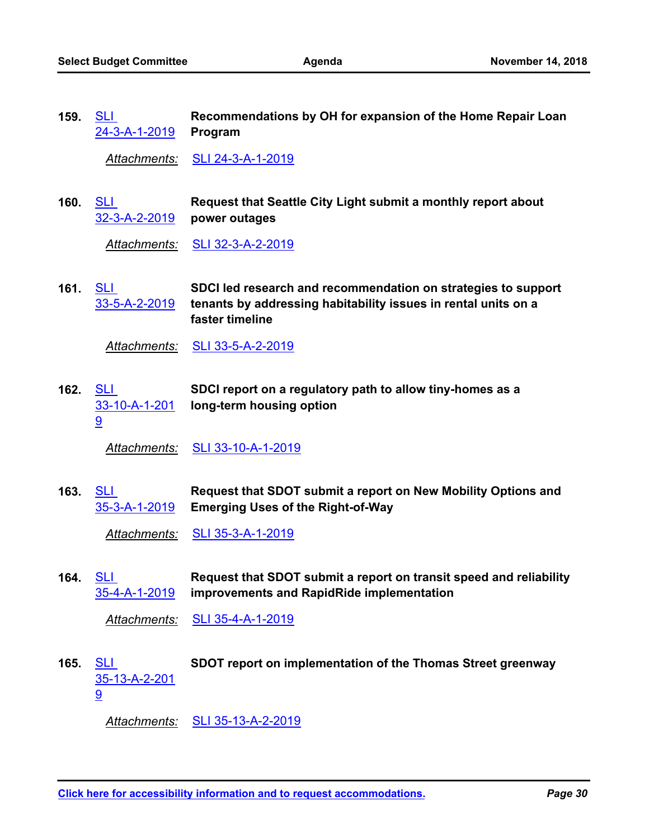**Recommendations by OH for expansion of the Home Repair Loan Program** <u>SLI</u> [24-3-A-1-2019](http://seattle.legistar.com/gateway.aspx?m=l&id=/matter.aspx?key=7814) **159.**

*Attachments:* [SLI 24-3-A-1-2019](http://seattle.legistar.com/gateway.aspx?M=F&ID=3efc720b-bc79-4757-b362-62c70b4a5a53.docx)

**Request that Seattle City Light submit a monthly report about power outages** SLI [32-3-A-2-2019](http://seattle.legistar.com/gateway.aspx?m=l&id=/matter.aspx?key=8068) **160.**

*Attachments:* [SLI 32-3-A-2-2019](http://seattle.legistar.com/gateway.aspx?M=F&ID=c71be6f2-0967-4881-be66-a0e70a671f8b.docx)

**SDCI led research and recommendation on strategies to support tenants by addressing habitability issues in rental units on a faster timeline** SLI [33-5-A-2-2019](http://seattle.legistar.com/gateway.aspx?m=l&id=/matter.aspx?key=8069) **161.**

*Attachments:* [SLI 33-5-A-2-2019](http://seattle.legistar.com/gateway.aspx?M=F&ID=efad7255-4a08-4a27-88c1-4ca4a1492312.docx)

**SDCI report on a regulatory path to allow tiny-homes as a long-term housing option** SLI [33-10-A-1-201](http://seattle.legistar.com/gateway.aspx?m=l&id=/matter.aspx?key=8070) 9 **162.**

*Attachments:* [SLI 33-10-A-1-2019](http://seattle.legistar.com/gateway.aspx?M=F&ID=64823cb9-d3e6-4c89-90da-e17f30fa5900.docx)

**Request that SDOT submit a report on New Mobility Options and Emerging Uses of the Right-of-Way** SLI [35-3-A-1-2019](http://seattle.legistar.com/gateway.aspx?m=l&id=/matter.aspx?key=7840) **163.**

*Attachments:* [SLI 35-3-A-1-2019](http://seattle.legistar.com/gateway.aspx?M=F&ID=7c02768c-beff-4464-881a-c094483c1275.docx)

**Request that SDOT submit a report on transit speed and reliability improvements and RapidRide implementation** 164. <u>SLI</u> [35-4-A-1-2019](http://seattle.legistar.com/gateway.aspx?m=l&id=/matter.aspx?key=7841)

*Attachments:* [SLI 35-4-A-1-2019](http://seattle.legistar.com/gateway.aspx?M=F&ID=4f510a0c-76a8-44ba-8e11-d0480c76bee5.docx)

SLI **SDOT report on implementation of the Thomas Street greenway** [35-13-A-2-201](http://seattle.legistar.com/gateway.aspx?m=l&id=/matter.aspx?key=8071) 9 **165.**

*Attachments:* [SLI 35-13-A-2-2019](http://seattle.legistar.com/gateway.aspx?M=F&ID=71555c43-1f5c-44b8-9dc6-dfec5014ea00.docx)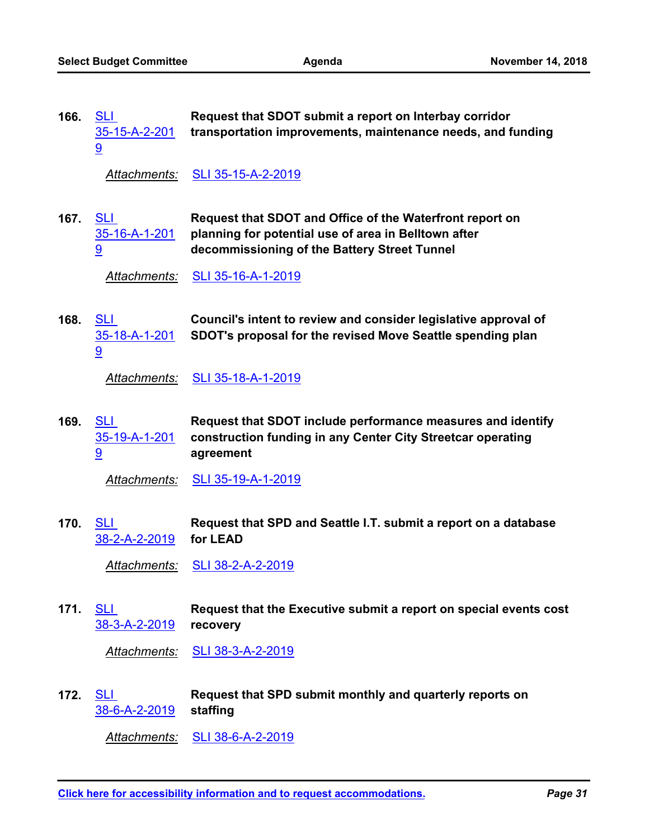| 166. | <b>SLI</b><br>35-15-A-2-201<br>$\overline{9}$ | Request that SDOT submit a report on Interbay corridor<br>transportation improvements, maintenance needs, and funding                                            |
|------|-----------------------------------------------|------------------------------------------------------------------------------------------------------------------------------------------------------------------|
|      | Attachments:                                  | SLI 35-15-A-2-2019                                                                                                                                               |
| 167. | <u>SLI</u><br>35-16-A-1-201<br>9              | Request that SDOT and Office of the Waterfront report on<br>planning for potential use of area in Belltown after<br>decommissioning of the Battery Street Tunnel |
|      | Attachments:                                  | SLI 35-16-A-1-2019                                                                                                                                               |
| 168. | <u>SLI</u><br>35-18-A-1-201<br>9              | Council's intent to review and consider legislative approval of<br>SDOT's proposal for the revised Move Seattle spending plan                                    |
|      | Attachments:                                  | <u>SLI 35-18-A-1-2019</u>                                                                                                                                        |
| 169. | SLI<br>35-19-A-1-201<br>9                     | Request that SDOT include performance measures and identify<br>construction funding in any Center City Streetcar operating<br>agreement                          |
|      | Attachments:                                  | <u>SLI 35-19-A-1-2019</u>                                                                                                                                        |
| 170. | <b>SLI</b><br><u>38-2-A-2-2019</u>            | Request that SPD and Seattle I.T. submit a report on a database<br>for LEAD                                                                                      |
|      | <u> Attachments:</u>                          | <u>SLI 38-2-A-2-2019</u>                                                                                                                                         |
| 171. | <u>SLI</u><br><u>38-3-A-2-2019</u>            | Request that the Executive submit a report on special events cost<br>recovery                                                                                    |
|      | <u> Attachments:</u>                          | <u>SLI 38-3-A-2-2019</u>                                                                                                                                         |
| 172. | <b>SLI</b><br>38-6-A-2-2019                   | Request that SPD submit monthly and quarterly reports on<br>staffing                                                                                             |
|      | <u> Attachments:</u>                          | SLI 38-6-A-2-2019                                                                                                                                                |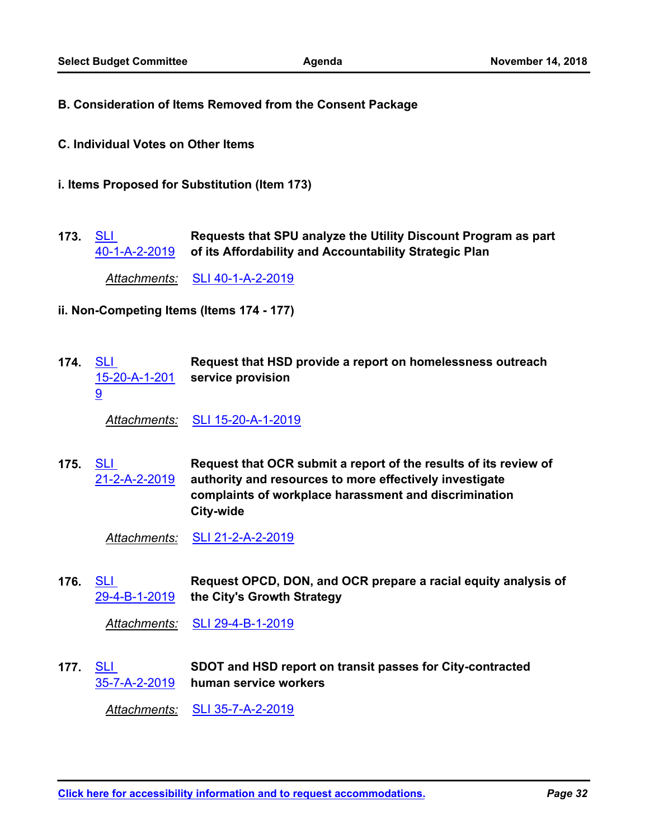- **B. Consideration of Items Removed from the Consent Package**
- **C. Individual Votes on Other Items**
- **i. Items Proposed for Substitution (Item 173)**
- **Requests that SPU analyze the Utility Discount Program as part of its Affordability and Accountability Strategic Plan** 173. <u>SLI</u> [40-1-A-2-2019](http://seattle.legistar.com/gateway.aspx?m=l&id=/matter.aspx?key=8075)

*Attachments:* [SLI 40-1-A-2-2019](http://seattle.legistar.com/gateway.aspx?M=F&ID=9c84ebba-74d6-4303-ba09-f1e1d6ce98ea.docx)

- **ii. Non-Competing Items (Items 174 177)**
- **Request that HSD provide a report on homelessness outreach service provision** [15-20-A-1-201](http://seattle.legistar.com/gateway.aspx?m=l&id=/matter.aspx?key=8107) 174. <u>SLI</u> 9

*Attachments:* [SLI 15-20-A-1-2019](http://seattle.legistar.com/gateway.aspx?M=F&ID=565582e4-f4fb-44a2-8ac1-b6d9bedf46e0.docx)

**Request that OCR submit a report of the results of its review of authority and resources to more effectively investigate complaints of workplace harassment and discrimination City-wide** 175. <u>SLI</u> [21-2-A-2-2019](http://seattle.legistar.com/gateway.aspx?m=l&id=/matter.aspx?key=8108)

*Attachments:* [SLI 21-2-A-2-2019](http://seattle.legistar.com/gateway.aspx?M=F&ID=05f9e55b-99c3-4b5d-b074-f418206a0b9c.docx)

**Request OPCD, DON, and OCR prepare a racial equity analysis of the City's Growth Strategy** 176. <u>SLI</u> [29-4-B-1-2019](http://seattle.legistar.com/gateway.aspx?m=l&id=/matter.aspx?key=8109)

*Attachments:* [SLI 29-4-B-1-2019](http://seattle.legistar.com/gateway.aspx?M=F&ID=6697e7db-3843-44ad-95c7-d80a7c246116.docx)

**SDOT and HSD report on transit passes for City-contracted human service workers** [35-7-A-2-2019](http://seattle.legistar.com/gateway.aspx?m=l&id=/matter.aspx?key=8110) 177. <u>SLI</u>

*Attachments:* [SLI 35-7-A-2-2019](http://seattle.legistar.com/gateway.aspx?M=F&ID=0516a83c-a5be-40f5-b78e-4c5897264c33.docx)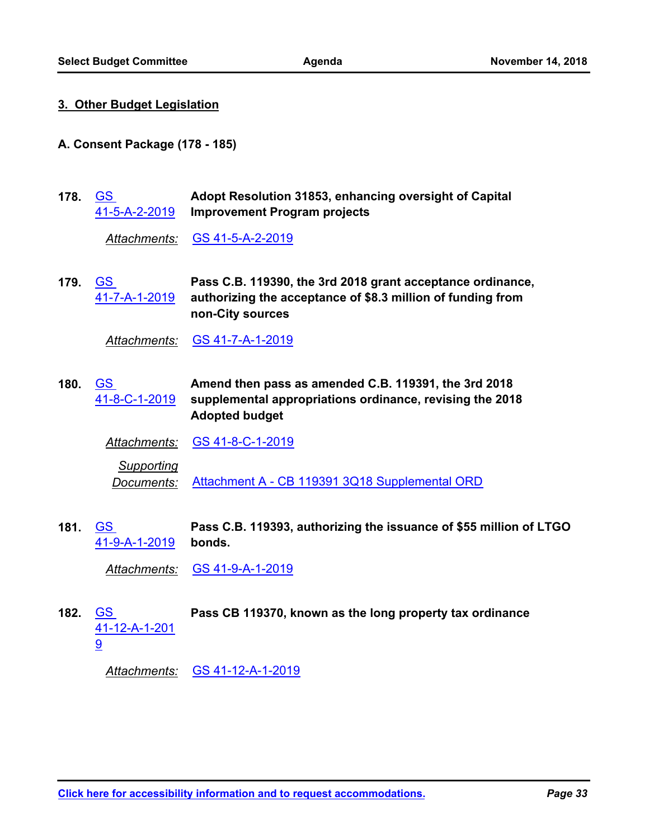#### **3. Other Budget Legislation**

- **A. Consent Package (178 185)**
- **Adopt Resolution 31853, enhancing oversight of Capital Improvement Program projects** GS [41-5-A-2-2019](http://seattle.legistar.com/gateway.aspx?m=l&id=/matter.aspx?key=8056) **178.**

*Attachments:* [GS 41-5-A-2-2019](http://seattle.legistar.com/gateway.aspx?M=F&ID=ea5ab406-cc5b-445b-a1b0-0436f22c1956.docx)

**Pass C.B. 119390, the 3rd 2018 grant acceptance ordinance, authorizing the acceptance of \$8.3 million of funding from non-City sources** 179. <u>GS</u> [41-7-A-1-2019](http://seattle.legistar.com/gateway.aspx?m=l&id=/matter.aspx?key=7952)

*Attachments:* [GS 41-7-A-1-2019](http://seattle.legistar.com/gateway.aspx?M=F&ID=18efd93a-e9a2-4190-9ba1-da78e0a44ad6.docx)

**Amend then pass as amended C.B. 119391, the 3rd 2018 supplemental appropriations ordinance, revising the 2018 Adopted budget** GS [41-8-C-1-2019](http://seattle.legistar.com/gateway.aspx?m=l&id=/matter.aspx?key=8103) **180.**

*Attachments:* [GS 41-8-C-1-2019](http://seattle.legistar.com/gateway.aspx?M=F&ID=1bbcbc22-4811-4007-846d-ef7f060d6281.docx)

*Supporting Documents:* [Attachment A - CB 119391 3Q18 Supplemental ORD](http://seattle.legistar.com/gateway.aspx?M=F&ID=bcca1434-b015-4bbe-946e-25dda93fbcd5.pdf)

**Pass C.B. 119393, authorizing the issuance of \$55 million of LTGO bonds.** 181. <u>GS</u> [41-9-A-1-2019](http://seattle.legistar.com/gateway.aspx?m=l&id=/matter.aspx?key=7954)

*Attachments:* [GS 41-9-A-1-2019](http://seattle.legistar.com/gateway.aspx?M=F&ID=e245ef7b-4d28-4f60-8c8d-1ca58ca7a194.docx)

GS **Pass CB 119370, known as the long property tax ordinance** [41-12-A-1-201](http://seattle.legistar.com/gateway.aspx?m=l&id=/matter.aspx?key=8104) 9 **182.**

*Attachments:* [GS 41-12-A-1-2019](http://seattle.legistar.com/gateway.aspx?M=F&ID=3146e86e-57ac-4bc7-b528-58beacea9dd3.docx)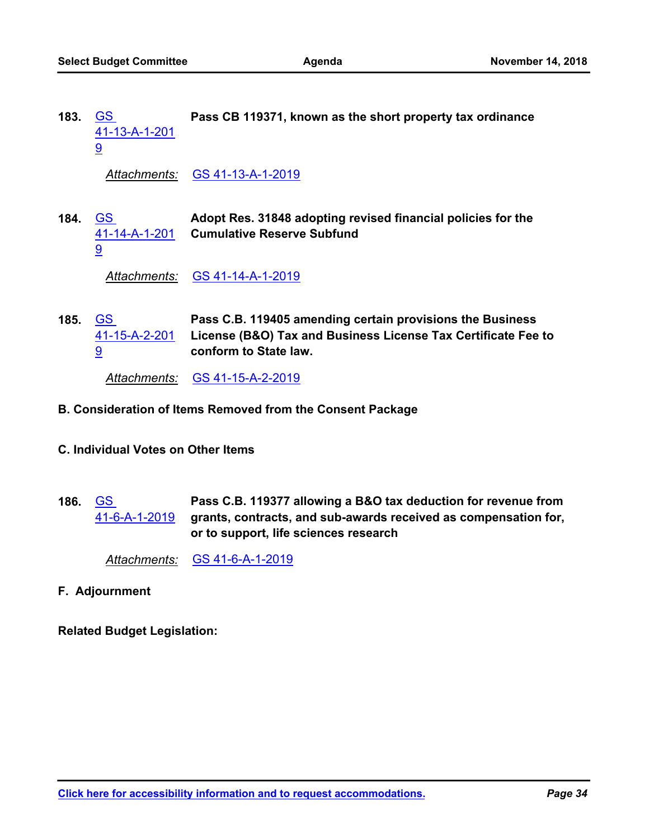GS **Pass CB 119371, known as the short property tax ordinance** [41-13-A-1-201](http://seattle.legistar.com/gateway.aspx?m=l&id=/matter.aspx?key=8105) 9 **183.**

*Attachments:* [GS 41-13-A-1-2019](http://seattle.legistar.com/gateway.aspx?M=F&ID=71deeda6-8eaf-47ec-bf6b-0cba526292f3.docx)

**Adopt Res. 31848 adopting revised financial policies for the Cumulative Reserve Subfund** 184. <u>GS</u> [41-14-A-1-201](http://seattle.legistar.com/gateway.aspx?m=l&id=/matter.aspx?key=7955) 9

*Attachments:* [GS 41-14-A-1-2019](http://seattle.legistar.com/gateway.aspx?M=F&ID=125f13de-8e2e-4b1a-b4db-89885e6ac748.docx)

**Pass C.B. 119405 amending certain provisions the Business License (B&O) Tax and Business License Tax Certificate Fee to conform to State law.** 185. <u>GS</u> [41-15-A-2-201](http://seattle.legistar.com/gateway.aspx?m=l&id=/matter.aspx?key=8106) 9

*Attachments:* [GS 41-15-A-2-2019](http://seattle.legistar.com/gateway.aspx?M=F&ID=69aa9ede-ae1e-4575-b1d8-9aadd66bd6d5.docx)

- **B. Consideration of Items Removed from the Consent Package**
- **C. Individual Votes on Other Items**
- **Pass C.B. 119377 allowing a B&O tax deduction for revenue from grants, contracts, and sub-awards received as compensation for, or to support, life sciences research** GS [41-6-A-1-2019](http://seattle.legistar.com/gateway.aspx?m=l&id=/matter.aspx?key=7951) **186.**

*Attachments:* [GS 41-6-A-1-2019](http://seattle.legistar.com/gateway.aspx?M=F&ID=b8e3fb26-1588-49cf-a92c-8915ffcb1988.docx)

**F. Adjournment**

**Related Budget Legislation:**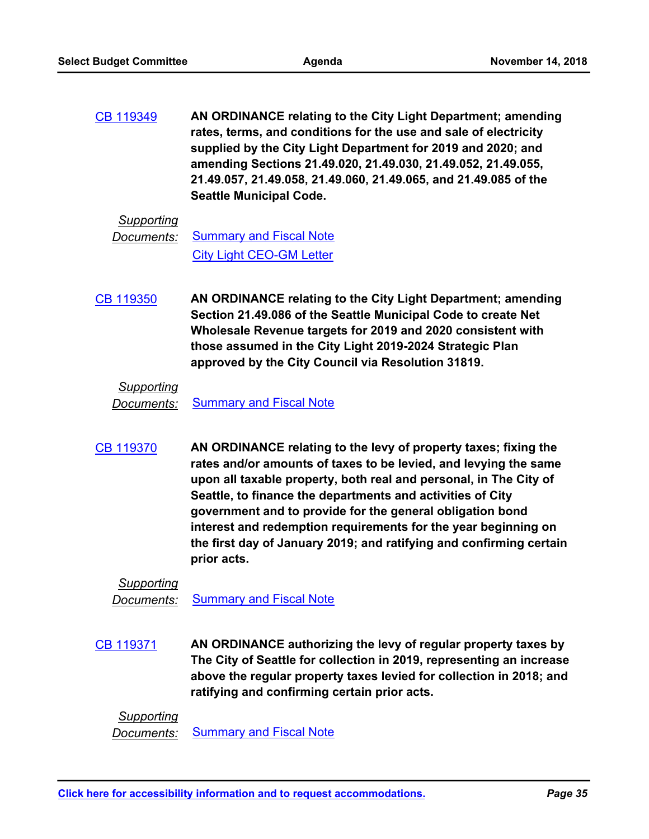**AN ORDINANCE relating to the City Light Department; amending rates, terms, and conditions for the use and sale of electricity supplied by the City Light Department for 2019 and 2020; and amending Sections 21.49.020, 21.49.030, 21.49.052, 21.49.055, 21.49.057, 21.49.058, 21.49.060, 21.49.065, and 21.49.085 of the Seattle Municipal Code.** [CB 119349](http://seattle.legistar.com/gateway.aspx?m=l&id=/matter.aspx?key=7427)

## *Supporting*

```
Documents:Summary and Fiscal Note
City Light CEO-GM Letter
```
**AN ORDINANCE relating to the City Light Department; amending Section 21.49.086 of the Seattle Municipal Code to create Net Wholesale Revenue targets for 2019 and 2020 consistent with those assumed in the City Light 2019-2024 Strategic Plan approved by the City Council via Resolution 31819.** [CB 119350](http://seattle.legistar.com/gateway.aspx?m=l&id=/matter.aspx?key=7442)

## *Supporting*

*Documents:* [Summary and Fiscal Note](http://seattle.legistar.com/gateway.aspx?M=F&ID=b23edc43-4730-4d6f-ad6e-016b0213e830.docx)

**AN ORDINANCE relating to the levy of property taxes; fixing the rates and/or amounts of taxes to be levied, and levying the same upon all taxable property, both real and personal, in The City of Seattle, to finance the departments and activities of City government and to provide for the general obligation bond interest and redemption requirements for the year beginning on the first day of January 2019; and ratifying and confirming certain prior acts.** [CB 119370](http://seattle.legistar.com/gateway.aspx?m=l&id=/matter.aspx?key=7638)

*Supporting Documents:* [Summary and Fiscal Note](http://seattle.legistar.com/gateway.aspx?M=F&ID=7f8d35cc-9e50-497f-be9b-7cef378e7e8a.docx)

**AN ORDINANCE authorizing the levy of regular property taxes by The City of Seattle for collection in 2019, representing an increase above the regular property taxes levied for collection in 2018; and ratifying and confirming certain prior acts.** [CB 119371](http://seattle.legistar.com/gateway.aspx?m=l&id=/matter.aspx?key=7639)

*Supporting Documents:* [Summary and Fiscal Note](http://seattle.legistar.com/gateway.aspx?M=F&ID=e196d9b8-94f9-45ad-adde-be082c769508.docx)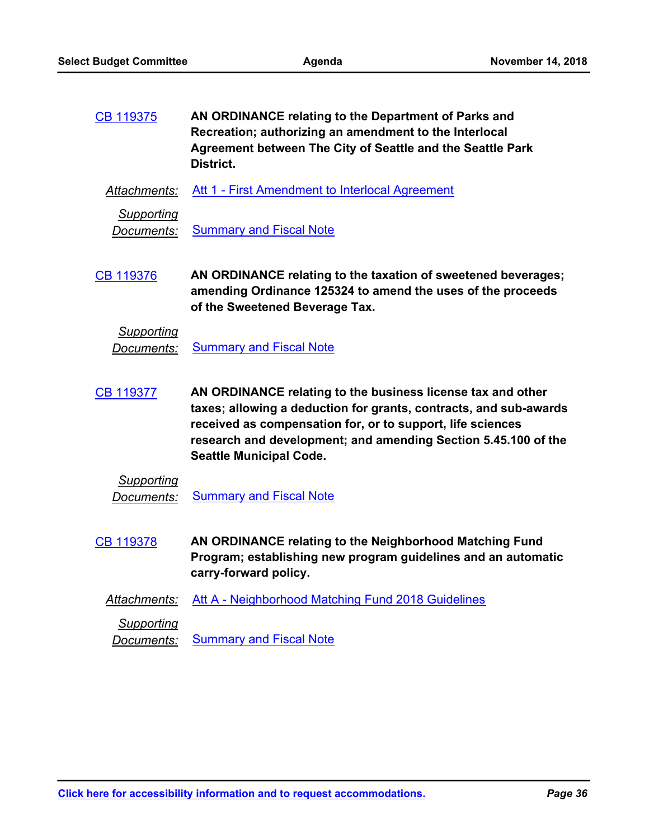**AN ORDINANCE relating to the Department of Parks and Recreation; authorizing an amendment to the Interlocal Agreement between The City of Seattle and the Seattle Park District.** [CB 119375](http://seattle.legistar.com/gateway.aspx?m=l&id=/matter.aspx?key=7739)

*Attachments:* [Att 1 - First Amendment to Interlocal Agreement](http://seattle.legistar.com/gateway.aspx?M=F&ID=8c373480-949c-449a-9306-03aa5c8936ef.docx)

*Supporting*

**Documents:** [Summary and Fiscal Note](http://seattle.legistar.com/gateway.aspx?M=F&ID=5039f2e2-3a97-41c4-a263-33d0bb3e7727.docx)

**AN ORDINANCE relating to the taxation of sweetened beverages; amending Ordinance 125324 to amend the uses of the proceeds of the Sweetened Beverage Tax.** [CB 119376](http://seattle.legistar.com/gateway.aspx?m=l&id=/matter.aspx?key=7525)

*Supporting* **Documents:** [Summary and Fiscal Note](http://seattle.legistar.com/gateway.aspx?M=F&ID=c79c34ff-1f15-4538-b0ae-3674dee4863e.docx)

**AN ORDINANCE relating to the business license tax and other taxes; allowing a deduction for grants, contracts, and sub-awards received as compensation for, or to support, life sciences research and development; and amending Section 5.45.100 of the Seattle Municipal Code.** [CB 119377](http://seattle.legistar.com/gateway.aspx?m=l&id=/matter.aspx?key=7650)

*Supporting* **Documents:** [Summary and Fiscal Note](http://seattle.legistar.com/gateway.aspx?M=F&ID=49dcd127-28ea-480b-abbf-e9f5eadd3985.docx)

- **AN ORDINANCE relating to the Neighborhood Matching Fund Program; establishing new program guidelines and an automatic carry-forward policy.** [CB 119378](http://seattle.legistar.com/gateway.aspx?m=l&id=/matter.aspx?key=7532)
	- *Attachments:* [Att A Neighborhood Matching Fund 2018 Guidelines](http://seattle.legistar.com/gateway.aspx?M=F&ID=c502f8d7-5798-4e18-abec-d73963701be8.pdf)

*Supporting*

**Documents:** [Summary and Fiscal Note](http://seattle.legistar.com/gateway.aspx?M=F&ID=c055823f-32cd-45a3-9571-a798c9270255.docx)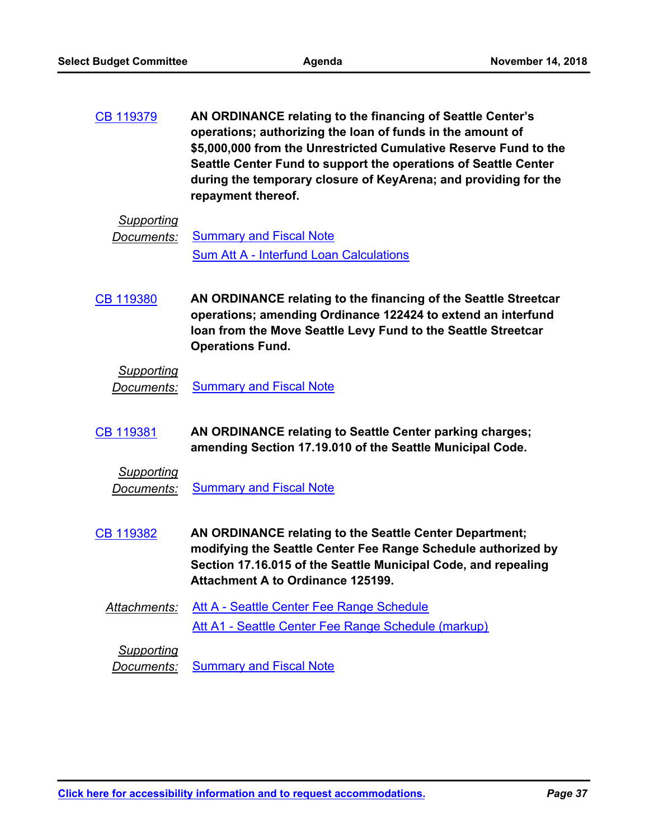**AN ORDINANCE relating to the financing of Seattle Center's operations; authorizing the loan of funds in the amount of \$5,000,000 from the Unrestricted Cumulative Reserve Fund to the Seattle Center Fund to support the operations of Seattle Center during the temporary closure of KeyArena; and providing for the repayment thereof.** [CB 119379](http://seattle.legistar.com/gateway.aspx?m=l&id=/matter.aspx?key=7620)

#### *Supporting*

**Documents:** [Summary and Fiscal Note](http://seattle.legistar.com/gateway.aspx?M=F&ID=15fcaa53-f27b-484e-a5ca-c968ee202a9b.docx) [Sum Att A - Interfund Loan Calculations](http://seattle.legistar.com/gateway.aspx?M=F&ID=a469b60b-0c3c-4214-8e0d-3a6b519aa287.pdf)

**AN ORDINANCE relating to the financing of the Seattle Streetcar operations; amending Ordinance 122424 to extend an interfund loan from the Move Seattle Levy Fund to the Seattle Streetcar Operations Fund.** [CB 119380](http://seattle.legistar.com/gateway.aspx?m=l&id=/matter.aspx?key=7624)

# *Supporting*

**Documents:** [Summary and Fiscal Note](http://seattle.legistar.com/gateway.aspx?M=F&ID=8d3df68f-f5fb-43ab-8b6a-35d7664dfe7d.docx)

- **AN ORDINANCE relating to Seattle Center parking charges; amending Section 17.19.010 of the Seattle Municipal Code.** [CB 119381](http://seattle.legistar.com/gateway.aspx?m=l&id=/matter.aspx?key=7527)
	- *Supporting Documents:* [Summary and Fiscal Note](http://seattle.legistar.com/gateway.aspx?M=F&ID=de0727bf-7584-4b83-923b-9956767ef0cb.docx)
- **AN ORDINANCE relating to the Seattle Center Department; modifying the Seattle Center Fee Range Schedule authorized by Section 17.16.015 of the Seattle Municipal Code, and repealing Attachment A to Ordinance 125199.** [CB 119382](http://seattle.legistar.com/gateway.aspx?m=l&id=/matter.aspx?key=7526)
	- *Attachments:* [Att A Seattle Center Fee Range Schedule](http://seattle.legistar.com/gateway.aspx?M=F&ID=056e17d2-e62d-430a-b44d-df264a6c9b25.docx) [Att A1 - Seattle Center Fee Range Schedule \(markup\)](http://seattle.legistar.com/gateway.aspx?M=F&ID=99c65f8b-0af1-4518-9174-fb2c82f3ac81.docx)

*Supporting*

*Documents:* [Summary and Fiscal Note](http://seattle.legistar.com/gateway.aspx?M=F&ID=a2e33723-20e8-4a43-b939-bb130b5c14b8.docx)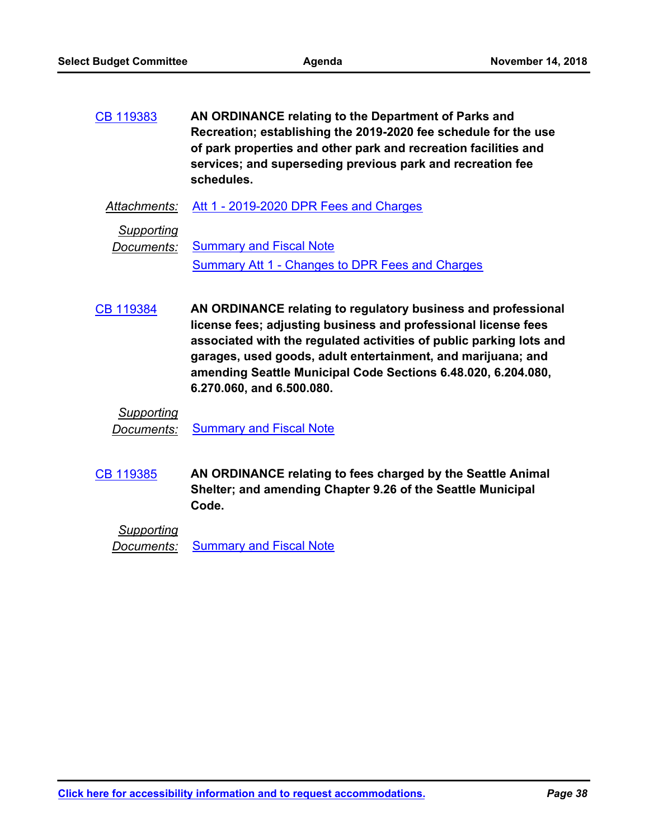**AN ORDINANCE relating to the Department of Parks and Recreation; establishing the 2019-2020 fee schedule for the use of park properties and other park and recreation facilities and services; and superseding previous park and recreation fee schedules.** [CB 119383](http://seattle.legistar.com/gateway.aspx?m=l&id=/matter.aspx?key=7606)

*Attachments:* [Att 1 - 2019-2020 DPR Fees and Charges](http://seattle.legistar.com/gateway.aspx?M=F&ID=f647e35e-be2d-400e-bbdf-78660ab1817f.pdf)

*Supporting*

*Documents:* [Summary and Fiscal Note](http://seattle.legistar.com/gateway.aspx?M=F&ID=37296d0f-0bd4-4c10-b80c-62eeaa780c1e.docx) [Summary Att 1 - Changes to DPR Fees and Charges](http://seattle.legistar.com/gateway.aspx?M=F&ID=7d57fa7c-4553-4db7-8a22-4d5d9275d1ad.docx)

**AN ORDINANCE relating to regulatory business and professional license fees; adjusting business and professional license fees associated with the regulated activities of public parking lots and garages, used goods, adult entertainment, and marijuana; and amending Seattle Municipal Code Sections 6.48.020, 6.204.080, 6.270.060, and 6.500.080.** [CB 119384](http://seattle.legistar.com/gateway.aspx?m=l&id=/matter.aspx?key=7529)

## *Supporting*

*Documents:* [Summary and Fiscal Note](http://seattle.legistar.com/gateway.aspx?M=F&ID=9c29a18a-d1a0-4dd3-9a0e-cd6c31551f16.docx)

**AN ORDINANCE relating to fees charged by the Seattle Animal Shelter; and amending Chapter 9.26 of the Seattle Municipal Code.** [CB 119385](http://seattle.legistar.com/gateway.aspx?m=l&id=/matter.aspx?key=7528)

*Supporting* **Documents:** [Summary and Fiscal Note](http://seattle.legistar.com/gateway.aspx?M=F&ID=4370e0f1-ec72-4000-b843-2902dd1d5db5.docx)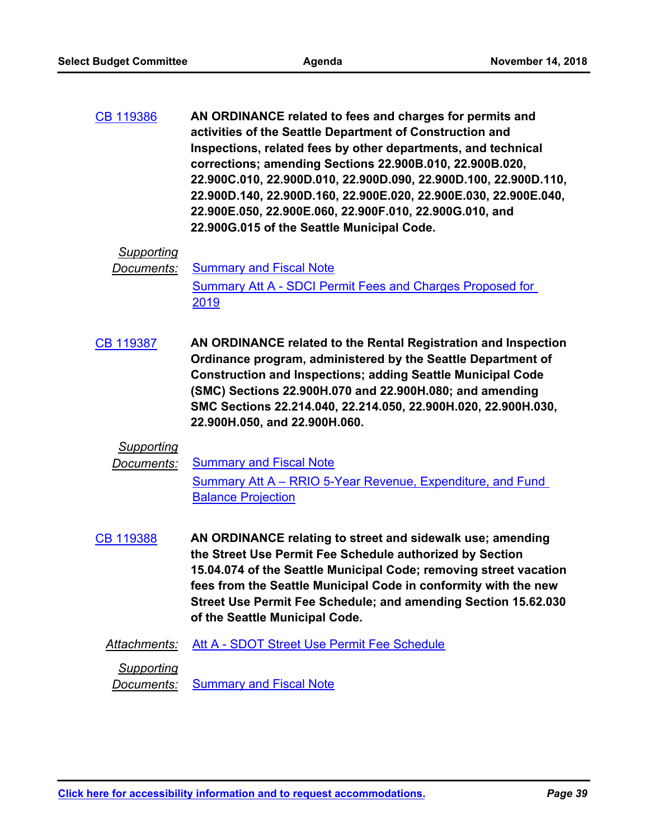**AN ORDINANCE related to fees and charges for permits and activities of the Seattle Department of Construction and Inspections, related fees by other departments, and technical corrections; amending Sections 22.900B.010, 22.900B.020, 22.900C.010, 22.900D.010, 22.900D.090, 22.900D.100, 22.900D.110, 22.900D.140, 22.900D.160, 22.900E.020, 22.900E.030, 22.900E.040, 22.900E.050, 22.900E.060, 22.900F.010, 22.900G.010, and 22.900G.015 of the Seattle Municipal Code.** [CB 119386](http://seattle.legistar.com/gateway.aspx?m=l&id=/matter.aspx?key=7575)

#### *Supporting*

**Documents:** [Summary and Fiscal Note](http://seattle.legistar.com/gateway.aspx?M=F&ID=c395ccbd-4329-47dd-976e-804cf9172d98.docx) [Summary Att A - SDCI Permit Fees and Charges Proposed for](http://seattle.legistar.com/gateway.aspx?M=F&ID=6eb11aee-5ba8-4181-8887-99ce4dee1675.docx)  2019

**AN ORDINANCE related to the Rental Registration and Inspection Ordinance program, administered by the Seattle Department of Construction and Inspections; adding Seattle Municipal Code (SMC) Sections 22.900H.070 and 22.900H.080; and amending SMC Sections 22.214.040, 22.214.050, 22.900H.020, 22.900H.030, 22.900H.050, and 22.900H.060.** [CB 119387](http://seattle.legistar.com/gateway.aspx?m=l&id=/matter.aspx?key=7536)

#### *Supporting*

**Documents:** [Summary and Fiscal Note](http://seattle.legistar.com/gateway.aspx?M=F&ID=6e4ce4bc-dc7f-40ed-b10d-b1dfcb346bb3.docx) [Summary Att A – RRIO 5-Year Revenue, Expenditure, and Fund](http://seattle.legistar.com/gateway.aspx?M=F&ID=beff476e-1a8a-49e8-902a-310a2c361fb4.docx)  Balance Projection

**AN ORDINANCE relating to street and sidewalk use; amending the Street Use Permit Fee Schedule authorized by Section 15.04.074 of the Seattle Municipal Code; removing street vacation fees from the Seattle Municipal Code in conformity with the new Street Use Permit Fee Schedule; and amending Section 15.62.030 of the Seattle Municipal Code.** [CB 119388](http://seattle.legistar.com/gateway.aspx?m=l&id=/matter.aspx?key=7534)

#### *Attachments:* [Att A - SDOT Street Use Permit Fee Schedule](http://seattle.legistar.com/gateway.aspx?M=F&ID=f27b01d1-6327-477f-a5f3-55ad39450de7.docx)

*Supporting*

**Documents:** [Summary and Fiscal Note](http://seattle.legistar.com/gateway.aspx?M=F&ID=54f97880-3c86-474f-becb-1576714c2389.docx)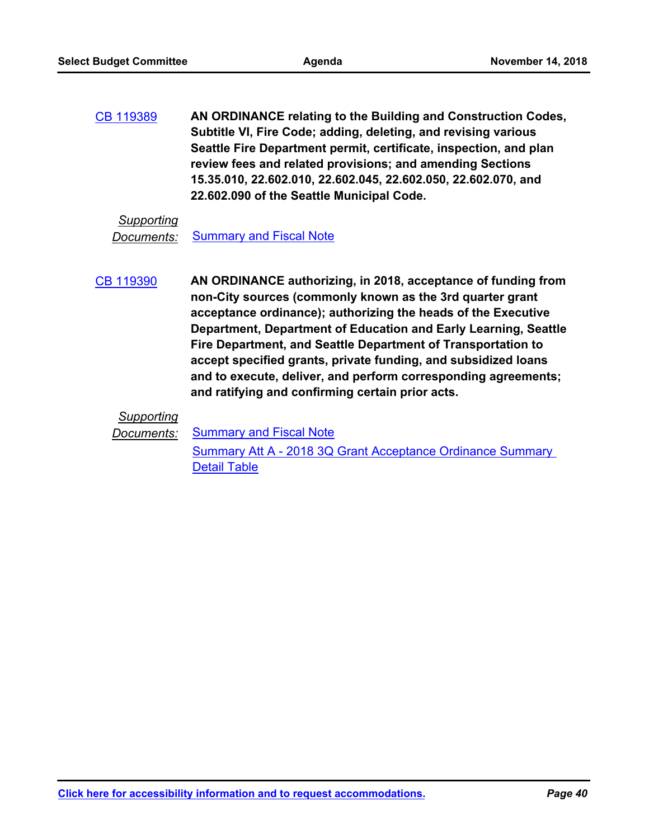**AN ORDINANCE relating to the Building and Construction Codes, Subtitle VI, Fire Code; adding, deleting, and revising various Seattle Fire Department permit, certificate, inspection, and plan review fees and related provisions; and amending Sections 15.35.010, 22.602.010, 22.602.045, 22.602.050, 22.602.070, and 22.602.090 of the Seattle Municipal Code.** [CB 119389](http://seattle.legistar.com/gateway.aspx?m=l&id=/matter.aspx?key=7633)

#### *Supporting*

**Documents:** [Summary and Fiscal Note](http://seattle.legistar.com/gateway.aspx?M=F&ID=74cb1c45-0d32-4b12-9092-c202fbe8ac4f.docx)

**AN ORDINANCE authorizing, in 2018, acceptance of funding from non-City sources (commonly known as the 3rd quarter grant acceptance ordinance); authorizing the heads of the Executive Department, Department of Education and Early Learning, Seattle Fire Department, and Seattle Department of Transportation to accept specified grants, private funding, and subsidized loans and to execute, deliver, and perform corresponding agreements; and ratifying and confirming certain prior acts.** [CB 119390](http://seattle.legistar.com/gateway.aspx?m=l&id=/matter.aspx?key=7636)

# *Supporting*

**Documents:** [Summary and Fiscal Note](http://seattle.legistar.com/gateway.aspx?M=F&ID=d68b3823-9bbc-4568-af68-27fd96e8b7eb.docx)

[Summary Att A - 2018 3Q Grant Acceptance Ordinance Summary](http://seattle.legistar.com/gateway.aspx?M=F&ID=914c2f85-a9c6-4ddf-b54e-0b4f14a65282.docx)  Detail Table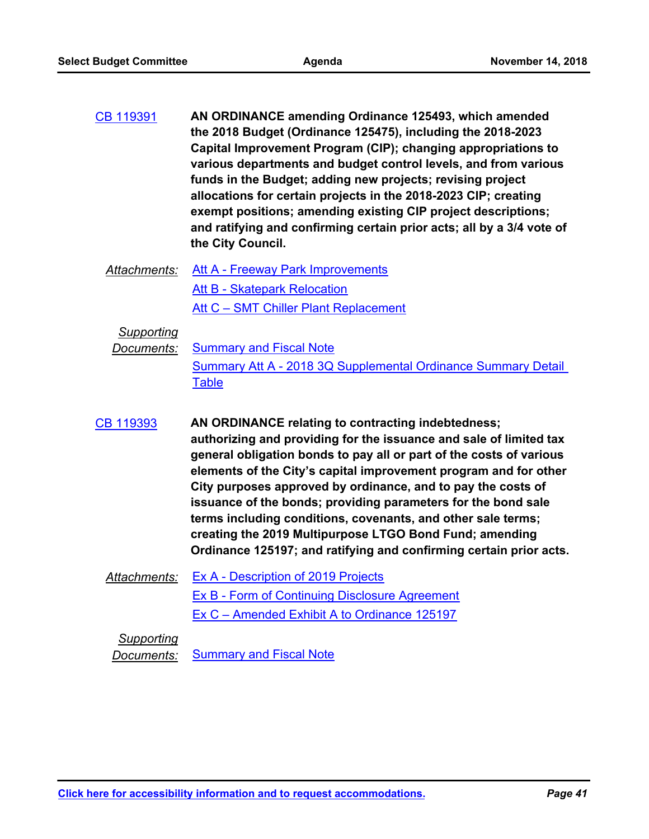- **AN ORDINANCE amending Ordinance 125493, which amended the 2018 Budget (Ordinance 125475), including the 2018-2023 Capital Improvement Program (CIP); changing appropriations to various departments and budget control levels, and from various funds in the Budget; adding new projects; revising project allocations for certain projects in the 2018-2023 CIP; creating exempt positions; amending existing CIP project descriptions; and ratifying and confirming certain prior acts; all by a 3/4 vote of the City Council.** [CB 119391](http://seattle.legistar.com/gateway.aspx?m=l&id=/matter.aspx?key=7637)
	- *Attachments:* [Att A Freeway Park Improvements](http://seattle.legistar.com/gateway.aspx?M=F&ID=d3cef511-3bf0-4ee3-95fe-5c0196f176fa.docx) [Att B - Skatepark Relocation](http://seattle.legistar.com/gateway.aspx?M=F&ID=fe733846-c2ca-4683-b0e4-7299bd9c3d33.doc) Att C - SMT Chiller Plant Replacement

*Supporting*

**Documents:** [Summary and Fiscal Note](http://seattle.legistar.com/gateway.aspx?M=F&ID=67597135-c722-4d63-9e46-6c4409d58d6b.docx) [Summary Att A - 2018 3Q Supplemental Ordinance Summary Detail](http://seattle.legistar.com/gateway.aspx?M=F&ID=1d2e8f69-83c4-4263-802d-96d4f8e12325.docx)  **Table** 

- **AN ORDINANCE relating to contracting indebtedness; authorizing and providing for the issuance and sale of limited tax general obligation bonds to pay all or part of the costs of various elements of the City's capital improvement program and for other City purposes approved by ordinance, and to pay the costs of issuance of the bonds; providing parameters for the bond sale terms including conditions, covenants, and other sale terms; creating the 2019 Multipurpose LTGO Bond Fund; amending Ordinance 125197; and ratifying and confirming certain prior acts.** [CB 119393](http://seattle.legistar.com/gateway.aspx?m=l&id=/matter.aspx?key=7621)
	- *Attachments:* [Ex A Description of 2019 Projects](http://seattle.legistar.com/gateway.aspx?M=F&ID=65cddf90-6385-4071-9a09-74a974b81f80.DOCX) [Ex B - Form of Continuing Disclosure Agreement](http://seattle.legistar.com/gateway.aspx?M=F&ID=677081d3-746d-4dac-9f39-f11d1936a561.DOCX) [Ex C – Amended Exhibit A to Ordinance 125197](http://seattle.legistar.com/gateway.aspx?M=F&ID=71b65ce5-1d51-489f-806f-4f6b3dfca041.DOCX)

# *Supporting*

*Documents:* [Summary and Fiscal Note](http://seattle.legistar.com/gateway.aspx?M=F&ID=b2cfaa8e-551a-41a8-a82b-f6dc6bea7f54.docx)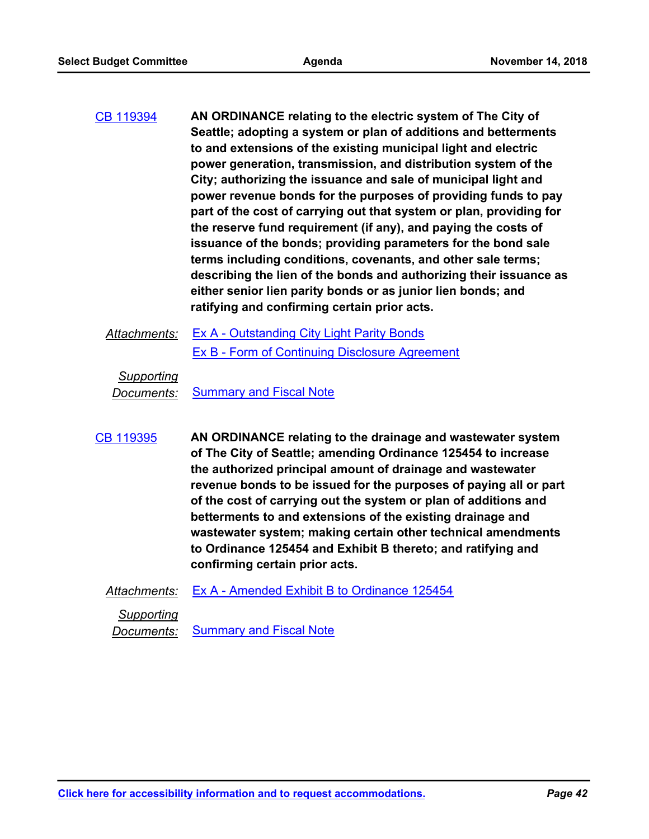- **AN ORDINANCE relating to the electric system of The City of Seattle; adopting a system or plan of additions and betterments to and extensions of the existing municipal light and electric power generation, transmission, and distribution system of the City; authorizing the issuance and sale of municipal light and power revenue bonds for the purposes of providing funds to pay part of the cost of carrying out that system or plan, providing for the reserve fund requirement (if any), and paying the costs of issuance of the bonds; providing parameters for the bond sale terms including conditions, covenants, and other sale terms; describing the lien of the bonds and authorizing their issuance as either senior lien parity bonds or as junior lien bonds; and ratifying and confirming certain prior acts.** [CB 119394](http://seattle.legistar.com/gateway.aspx?m=l&id=/matter.aspx?key=7622)
	- Attachments: [Ex A Outstanding City Light Parity Bonds](http://seattle.legistar.com/gateway.aspx?M=F&ID=866e0744-258b-4887-9e70-48bf03dfc6fd.DOCX) [Ex B - Form of Continuing Disclosure Agreement](http://seattle.legistar.com/gateway.aspx?M=F&ID=4ea4c57f-08b6-462b-b863-2eeebb1b9ce9.DOCX)

*Supporting*

*Documents:* [Summary and Fiscal Note](http://seattle.legistar.com/gateway.aspx?M=F&ID=9ef4cbe4-a684-4705-8b1f-a60869aea467.docx)

- **AN ORDINANCE relating to the drainage and wastewater system of The City of Seattle; amending Ordinance 125454 to increase the authorized principal amount of drainage and wastewater revenue bonds to be issued for the purposes of paying all or part of the cost of carrying out the system or plan of additions and betterments to and extensions of the existing drainage and wastewater system; making certain other technical amendments to Ordinance 125454 and Exhibit B thereto; and ratifying and confirming certain prior acts.** [CB 119395](http://seattle.legistar.com/gateway.aspx?m=l&id=/matter.aspx?key=7623)
	- *Attachments:* [Ex A Amended Exhibit B to Ordinance 125454](http://seattle.legistar.com/gateway.aspx?M=F&ID=b83a8bb8-322c-447b-92f7-9a66e6604a32.DOCX)

*Supporting* **Documents:** [Summary and Fiscal Note](http://seattle.legistar.com/gateway.aspx?M=F&ID=35efd194-2474-4c5d-b328-808ae543b717.docx)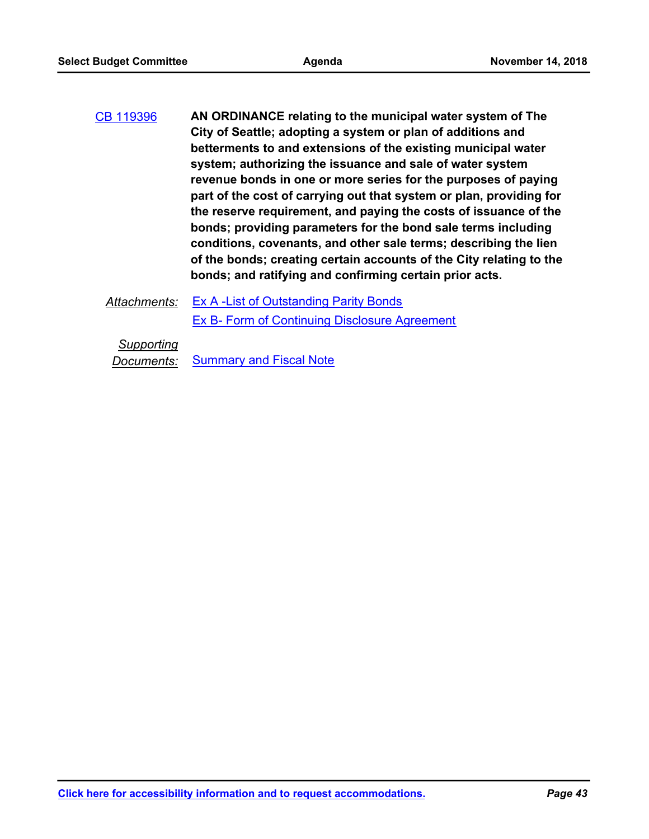- **AN ORDINANCE relating to the municipal water system of The City of Seattle; adopting a system or plan of additions and betterments to and extensions of the existing municipal water system; authorizing the issuance and sale of water system revenue bonds in one or more series for the purposes of paying part of the cost of carrying out that system or plan, providing for the reserve requirement, and paying the costs of issuance of the bonds; providing parameters for the bond sale terms including conditions, covenants, and other sale terms; describing the lien of the bonds; creating certain accounts of the City relating to the bonds; and ratifying and confirming certain prior acts.** [CB 119396](http://seattle.legistar.com/gateway.aspx?m=l&id=/matter.aspx?key=7629)
	- Attachments: [Ex A -List of Outstanding Parity Bonds](http://seattle.legistar.com/gateway.aspx?M=F&ID=a0b1f181-32ae-4a77-b058-fbcf1e193305.DOCX) [Ex B- Form of Continuing Disclosure Agreement](http://seattle.legistar.com/gateway.aspx?M=F&ID=fbfd3ae6-3c24-4fff-8a6a-15d0916bf964.DOCX)

*Supporting*

**Documents:** [Summary and Fiscal Note](http://seattle.legistar.com/gateway.aspx?M=F&ID=5657f4e3-7aea-4c48-9370-a00d1c9a7cc9.docx)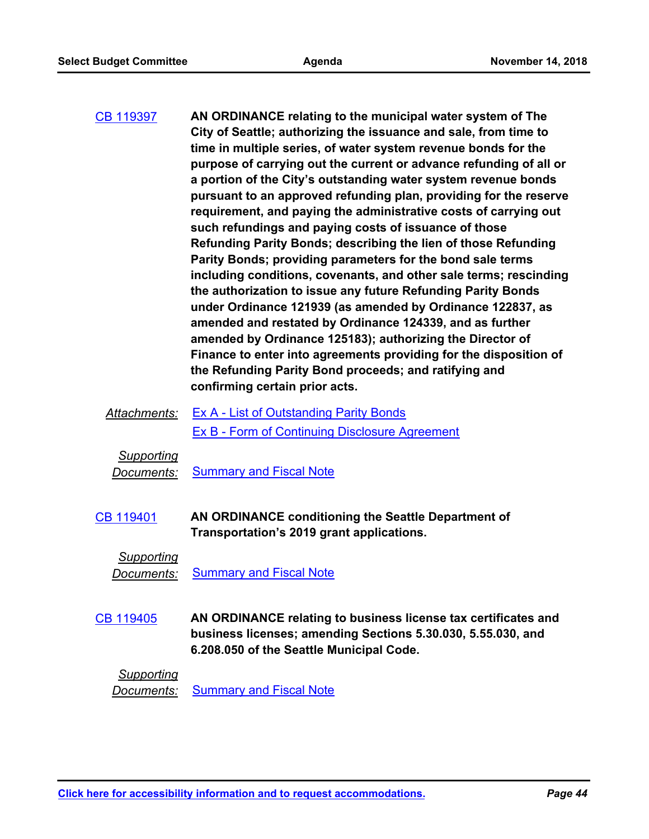| CB 119397 | AN ORDINANCE relating to the municipal water system of The<br>City of Seattle; authorizing the issuance and sale, from time to |
|-----------|--------------------------------------------------------------------------------------------------------------------------------|
|           | time in multiple series, of water system revenue bonds for the                                                                 |
|           | purpose of carrying out the current or advance refunding of all or                                                             |
|           | a portion of the City's outstanding water system revenue bonds                                                                 |
|           | pursuant to an approved refunding plan, providing for the reserve                                                              |
|           | requirement, and paying the administrative costs of carrying out                                                               |
|           | such refundings and paying costs of issuance of those                                                                          |
|           | Refunding Parity Bonds; describing the lien of those Refunding                                                                 |
|           | Parity Bonds; providing parameters for the bond sale terms                                                                     |
|           | including conditions, covenants, and other sale terms; rescinding                                                              |
|           | the authorization to issue any future Refunding Parity Bonds                                                                   |
|           | under Ordinance 121939 (as amended by Ordinance 122837, as                                                                     |
|           | amended and restated by Ordinance 124339, and as further                                                                       |
|           | amended by Ordinance 125183); authorizing the Director of                                                                      |
|           | Finance to enter into agreements providing for the disposition of                                                              |
|           | the Refunding Parity Bond proceeds; and ratifying and                                                                          |
|           | confirming certain prior acts.                                                                                                 |

*Attachments:* [Ex A - List of Outstanding Parity Bonds](http://seattle.legistar.com/gateway.aspx?M=F&ID=e1c4c838-0710-4683-a43d-79e6e01e7ca1.DOCX) [Ex B - Form of Continuing Disclosure Agreement](http://seattle.legistar.com/gateway.aspx?M=F&ID=6e1ff255-66a9-4076-aade-e7cbc9d3cfb8.DOCX)

*Supporting*

*Documents:* [Summary and Fiscal Note](http://seattle.legistar.com/gateway.aspx?M=F&ID=c6b4dc34-3ccb-463a-83bd-852d9c7e5ea6.docx)

**AN ORDINANCE conditioning the Seattle Department of Transportation's 2019 grant applications.** [CB 119401](http://seattle.legistar.com/gateway.aspx?m=l&id=/matter.aspx?key=7742)

*Supporting*

**Documents:** [Summary and Fiscal Note](http://seattle.legistar.com/gateway.aspx?M=F&ID=a67807f5-55e1-4d70-88eb-88f5c3f81f36.docx)

**AN ORDINANCE relating to business license tax certificates and business licenses; amending Sections 5.30.030, 5.55.030, and 6.208.050 of the Seattle Municipal Code.** [CB 119405](http://seattle.legistar.com/gateway.aspx?m=l&id=/matter.aspx?key=7703)

*Supporting*

*Documents:* [Summary and Fiscal Note](http://seattle.legistar.com/gateway.aspx?M=F&ID=73776f03-8fa5-46b9-9753-b5c58b0886cd.docx)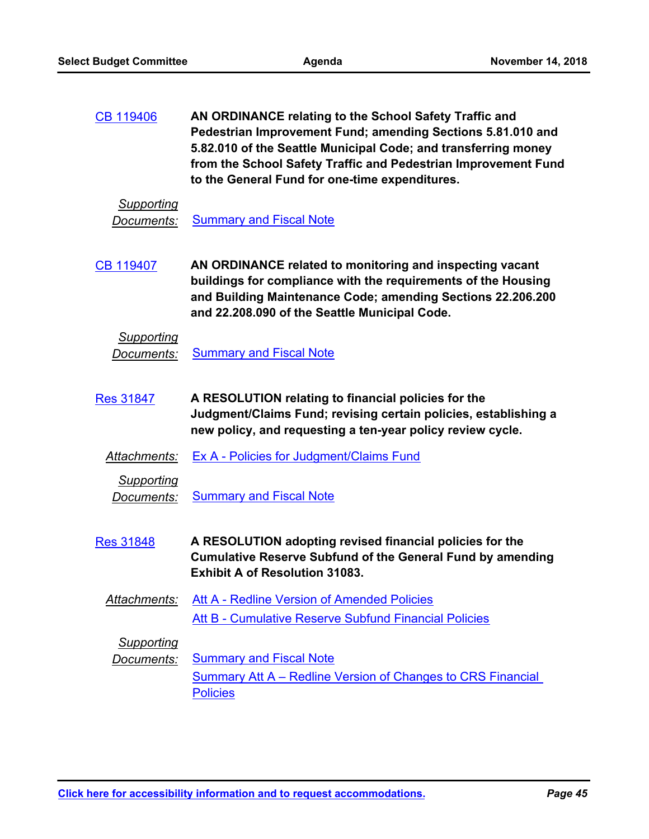**AN ORDINANCE relating to the School Safety Traffic and Pedestrian Improvement Fund; amending Sections 5.81.010 and 5.82.010 of the Seattle Municipal Code; and transferring money from the School Safety Traffic and Pedestrian Improvement Fund to the General Fund for one-time expenditures.** [CB 119406](http://seattle.legistar.com/gateway.aspx?m=l&id=/matter.aspx?key=7965)

### *Supporting*

**Documents:** [Summary and Fiscal Note](http://seattle.legistar.com/gateway.aspx?M=F&ID=9172c499-6ec2-4c00-bbc3-92fe034e62ba.docx)

**AN ORDINANCE related to monitoring and inspecting vacant buildings for compliance with the requirements of the Housing and Building Maintenance Code; amending Sections 22.206.200 and 22.208.090 of the Seattle Municipal Code.** [CB 119407](http://seattle.legistar.com/gateway.aspx?m=l&id=/matter.aspx?key=7966)

# *Supporting* **Documents:** [Summary and Fiscal Note](http://seattle.legistar.com/gateway.aspx?M=F&ID=99cb3233-d6a1-4abf-8fa0-870389d87954.docx)

- **A RESOLUTION relating to financial policies for the Judgment/Claims Fund; revising certain policies, establishing a new policy, and requesting a ten-year policy review cycle.** [Res 31847](http://seattle.legistar.com/gateway.aspx?m=l&id=/matter.aspx?key=7531)
	- *Attachments:* [Ex A Policies for Judgment/Claims Fund](http://seattle.legistar.com/gateway.aspx?M=F&ID=82eca7f5-d211-4d96-b244-63cef8dea532.docx)
		- *Supporting*

**Documents:** [Summary and Fiscal Note](http://seattle.legistar.com/gateway.aspx?M=F&ID=42102b8e-d6c3-4bc2-9703-42d3269f0cfa.docx)

- **A RESOLUTION adopting revised financial policies for the Cumulative Reserve Subfund of the General Fund by amending Exhibit A of Resolution 31083.** [Res 31848](http://seattle.legistar.com/gateway.aspx?m=l&id=/matter.aspx?key=7642)
	- *Attachments:* [Att A Redline Version of Amended Policies](http://seattle.legistar.com/gateway.aspx?M=F&ID=5b8b2606-2cb5-4368-8e57-98a9e1b1b2d3.docx) [Att B - Cumulative Reserve Subfund Financial Policies](http://seattle.legistar.com/gateway.aspx?M=F&ID=c45cabac-fb19-4665-a23c-994bc20c762b.docx)

*Supporting*

**Documents:** [Summary and Fiscal Note](http://seattle.legistar.com/gateway.aspx?M=F&ID=30821c4e-9b1b-49ff-87a8-3ebacc4345c0.docx) [Summary Att A – Redline Version of Changes to CRS Financial](http://seattle.legistar.com/gateway.aspx?M=F&ID=92180b2f-980a-4c91-bad9-20c4ab1a9bb2.docx)  **Policies**